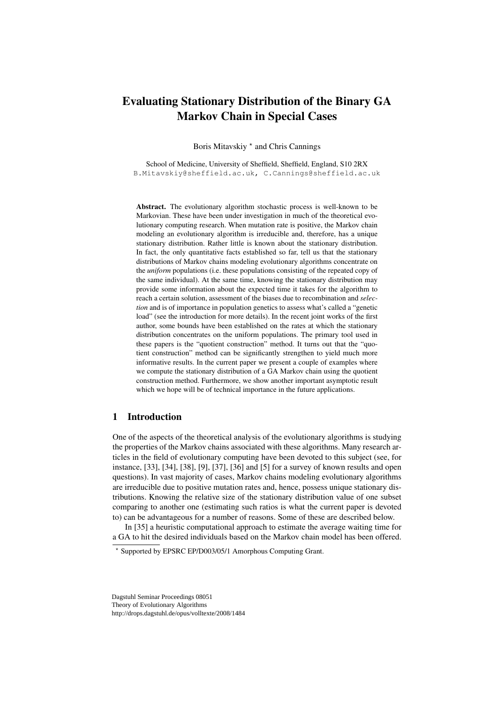# Evaluating Stationary Distribution of the Binary GA Markov Chain in Special Cases

Boris Mitavskiy \* and Chris Cannings

School of Medicine, University of Sheffield, Sheffield, England, S10 2RX B.Mitavskiy@sheffield.ac.uk, C.Cannings@sheffield.ac.uk

Abstract. The evolutionary algorithm stochastic process is well-known to be Markovian. These have been under investigation in much of the theoretical evolutionary computing research. When mutation rate is positive, the Markov chain modeling an evolutionary algorithm is irreducible and, therefore, has a unique stationary distribution. Rather little is known about the stationary distribution. In fact, the only quantitative facts established so far, tell us that the stationary distributions of Markov chains modeling evolutionary algorithms concentrate on the *uniform* populations (i.e. these populations consisting of the repeated copy of the same individual). At the same time, knowing the stationary distribution may provide some information about the expected time it takes for the algorithm to reach a certain solution, assessment of the biases due to recombination and *selection* and is of importance in population genetics to assess what's called a "genetic load" (see the introduction for more details). In the recent joint works of the first author, some bounds have been established on the rates at which the stationary distribution concentrates on the uniform populations. The primary tool used in these papers is the "quotient construction" method. It turns out that the "quotient construction" method can be significantly strengthen to yield much more informative results. In the current paper we present a couple of examples where we compute the stationary distribution of a GA Markov chain using the quotient construction method. Furthermore, we show another important asymptotic result which we hope will be of technical importance in the future applications.

## 1 Introduction

One of the aspects of the theoretical analysis of the evolutionary algorithms is studying the properties of the Markov chains associated with these algorithms. Many research articles in the field of evolutionary computing have been devoted to this subject (see, for instance, [33], [34], [38], [9], [37], [36] and [5] for a survey of known results and open questions). In vast majority of cases, Markov chains modeling evolutionary algorithms are irreducible due to positive mutation rates and, hence, possess unique stationary distributions. Knowing the relative size of the stationary distribution value of one subset comparing to another one (estimating such ratios is what the current paper is devoted to) can be advantageous for a number of reasons. Some of these are described below.

In [35] a heuristic computational approach to estimate the average waiting time for a GA to hit the desired individuals based on the Markov chain model has been offered.

Dagstuhl Seminar Proceedings 08051 Theory of Evolutionary Algorithms http://drops.dagstuhl.de/opus/volltexte/2008/1484

<sup>?</sup> Supported by EPSRC EP/D003/05/1 Amorphous Computing Grant.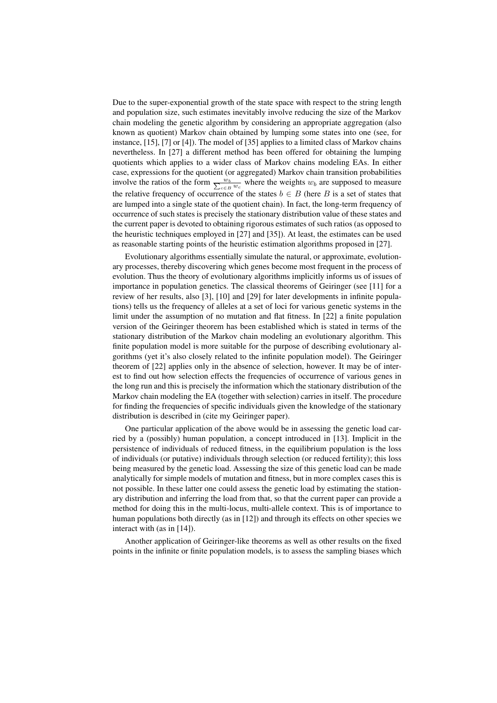Due to the super-exponential growth of the state space with respect to the string length and population size, such estimates inevitably involve reducing the size of the Markov chain modeling the genetic algorithm by considering an appropriate aggregation (also known as quotient) Markov chain obtained by lumping some states into one (see, for instance, [15], [7] or [4]). The model of [35] applies to a limited class of Markov chains nevertheless. In [27] a different method has been offered for obtaining the lumping quotients which applies to a wider class of Markov chains modeling EAs. In either case, expressions for the quotient (or aggregated) Markov chain transition probabilities involve the ratios of the form  $\frac{w_b}{\sum_{c \in B} w_c}$  where the weights  $w_b$  are supposed to measure the relative frequency of occurrence of the states  $b \in B$  (here B is a set of states that are lumped into a single state of the quotient chain). In fact, the long-term frequency of occurrence of such states is precisely the stationary distribution value of these states and the current paper is devoted to obtaining rigorous estimates of such ratios (as opposed to the heuristic techniques employed in [27] and [35]). At least, the estimates can be used as reasonable starting points of the heuristic estimation algorithms proposed in [27].

Evolutionary algorithms essentially simulate the natural, or approximate, evolutionary processes, thereby discovering which genes become most frequent in the process of evolution. Thus the theory of evolutionary algorithms implicitly informs us of issues of importance in population genetics. The classical theorems of Geiringer (see [11] for a review of her results, also [3], [10] and [29] for later developments in infinite populations) tells us the frequency of alleles at a set of loci for various genetic systems in the limit under the assumption of no mutation and flat fitness. In [22] a finite population version of the Geiringer theorem has been established which is stated in terms of the stationary distribution of the Markov chain modeling an evolutionary algorithm. This finite population model is more suitable for the purpose of describing evolutionary algorithms (yet it's also closely related to the infinite population model). The Geiringer theorem of [22] applies only in the absence of selection, however. It may be of interest to find out how selection effects the frequencies of occurrence of various genes in the long run and this is precisely the information which the stationary distribution of the Markov chain modeling the EA (together with selection) carries in itself. The procedure for finding the frequencies of specific individuals given the knowledge of the stationary distribution is described in (cite my Geiringer paper).

One particular application of the above would be in assessing the genetic load carried by a (possibly) human population, a concept introduced in [13]. Implicit in the persistence of individuals of reduced fitness, in the equilibrium population is the loss of individuals (or putative) individuals through selection (or reduced fertility); this loss being measured by the genetic load. Assessing the size of this genetic load can be made analytically for simple models of mutation and fitness, but in more complex cases this is not possible. In these latter one could assess the genetic load by estimating the stationary distribution and inferring the load from that, so that the current paper can provide a method for doing this in the multi-locus, multi-allele context. This is of importance to human populations both directly (as in [12]) and through its effects on other species we interact with (as in [14]).

Another application of Geiringer-like theorems as well as other results on the fixed points in the infinite or finite population models, is to assess the sampling biases which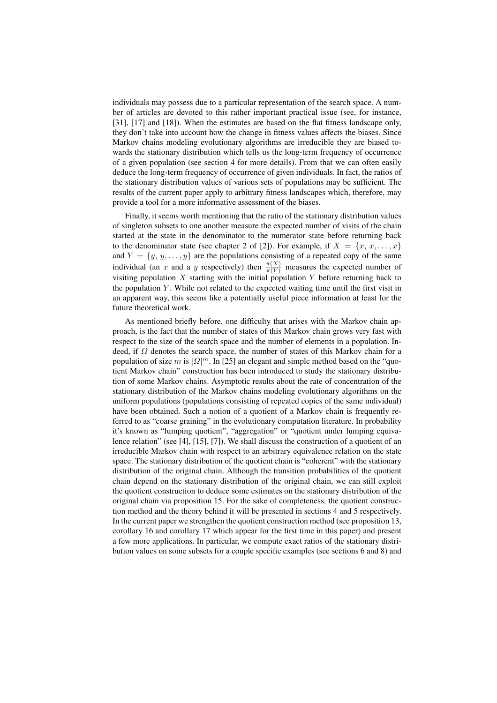individuals may possess due to a particular representation of the search space. A number of articles are devoted to this rather important practical issue (see, for instance, [31], [17] and [18]). When the estimates are based on the flat fitness landscape only, they don't take into account how the change in fitness values affects the biases. Since Markov chains modeling evolutionary algorithms are irreducible they are biased towards the stationary distribution which tells us the long-term frequency of occurrence of a given population (see section 4 for more details). From that we can often easily deduce the long-term frequency of occurrence of given individuals. In fact, the ratios of the stationary distribution values of various sets of populations may be sufficient. The results of the current paper apply to arbitrary fitness landscapes which, therefore, may provide a tool for a more informative assessment of the biases.

Finally, it seems worth mentioning that the ratio of the stationary distribution values of singleton subsets to one another measure the expected number of visits of the chain started at the state in the denominator to the numerator state before returning back to the denominator state (see chapter 2 of [2]). For example, if  $X = \{x, x, \ldots, x\}$ and  $Y = \{y, y, \ldots, y\}$  are the populations consisting of a repeated copy of the same individual (an x and a y respectively) then  $\frac{\pi(X)}{\pi(Y)}$  measures the expected number of visiting population  $X$  starting with the initial population  $Y$  before returning back to the population  $Y$ . While not related to the expected waiting time until the first visit in an apparent way, this seems like a potentially useful piece information at least for the future theoretical work.

As mentioned briefly before, one difficulty that arises with the Markov chain approach, is the fact that the number of states of this Markov chain grows very fast with respect to the size of the search space and the number of elements in a population. Indeed, if  $\Omega$  denotes the search space, the number of states of this Markov chain for a population of size m is  $|\Omega|^m$ . In [25] an elegant and simple method based on the "quotient Markov chain" construction has been introduced to study the stationary distribution of some Markov chains. Asymptotic results about the rate of concentration of the stationary distribution of the Markov chains modeling evolutionary algorithms on the uniform populations (populations consisting of repeated copies of the same individual) have been obtained. Such a notion of a quotient of a Markov chain is frequently referred to as "coarse graining" in the evolutionary computation literature. In probability it's known as "lumping quotient", "aggregation" or "quotient under lumping equivalence relation" (see [4], [15], [7]). We shall discuss the construction of a quotient of an irreducible Markov chain with respect to an arbitrary equivalence relation on the state space. The stationary distribution of the quotient chain is "coherent" with the stationary distribution of the original chain. Although the transition probabilities of the quotient chain depend on the stationary distribution of the original chain, we can still exploit the quotient construction to deduce some estimates on the stationary distribution of the original chain via proposition 15. For the sake of completeness, the quotient construction method and the theory behind it will be presented in sections 4 and 5 respectively. In the current paper we strengthen the quotient construction method (see proposition 13, corollary 16 and corollary 17 which appear for the first time in this paper) and present a few more applications. In particular, we compute exact ratios of the stationary distribution values on some subsets for a couple specific examples (see sections 6 and 8) and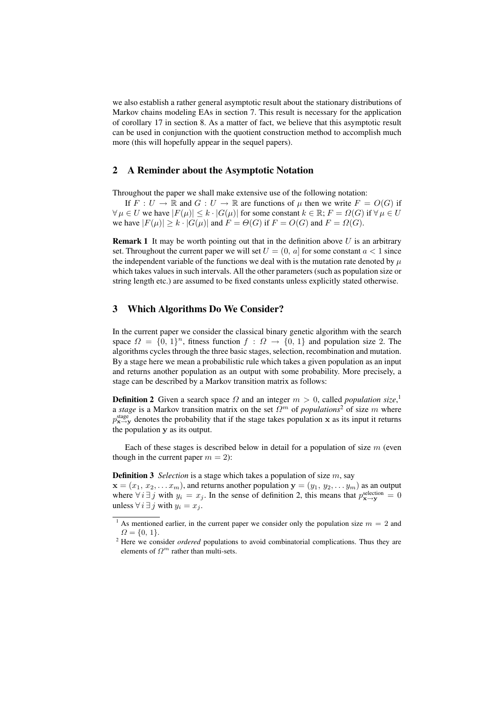we also establish a rather general asymptotic result about the stationary distributions of Markov chains modeling EAs in section 7. This result is necessary for the application of corollary 17 in section 8. As a matter of fact, we believe that this asymptotic result can be used in conjunction with the quotient construction method to accomplish much more (this will hopefully appear in the sequel papers).

#### 2 A Reminder about the Asymptotic Notation

Throughout the paper we shall make extensive use of the following notation:

If  $F: U \to \mathbb{R}$  and  $G: U \to \mathbb{R}$  are functions of  $\mu$  then we write  $F = O(G)$  if  $\forall \mu \in U$  we have  $|F(\mu)| \leq k \cdot |G(\mu)|$  for some constant  $k \in \mathbb{R}$ ;  $F = \Omega(G)$  if  $\forall \mu \in U$ we have  $|F(\mu)| \ge k \cdot |G(\mu)|$  and  $F = \Theta(G)$  if  $F = O(G)$  and  $F = \Omega(G)$ .

**Remark 1** It may be worth pointing out that in the definition above  $U$  is an arbitrary set. Throughout the current paper we will set  $U = (0, a]$  for some constant  $a < 1$  since the independent variable of the functions we deal with is the mutation rate denoted by  $\mu$ which takes values in such intervals. All the other parameters (such as population size or string length etc.) are assumed to be fixed constants unless explicitly stated otherwise.

#### 3 Which Algorithms Do We Consider?

In the current paper we consider the classical binary genetic algorithm with the search space  $\Omega = \{0, 1\}^n$ , fitness function  $f : \Omega \to \{0, 1\}$  and population size 2. The algorithms cycles through the three basic stages, selection, recombination and mutation. By a stage here we mean a probabilistic rule which takes a given population as an input and returns another population as an output with some probability. More precisely, a stage can be described by a Markov transition matrix as follows:

**Definition 2** Given a search space  $\Omega$  and an integer  $m > 0$ , called *population size*,<sup>1</sup> a *stage* is a Markov transition matrix on the set  $\Omega^m$  of *populations*<sup>2</sup> of size m where  $p_{\mathbf{x} \to \mathbf{y}}^{\text{stage}}$  denotes the probability that if the stage takes population x as its input it returns the population y as its output.

Each of these stages is described below in detail for a population of size  $m$  (even though in the current paper  $m = 2$ :

**Definition 3** *Selection* is a stage which takes a population of size m, say

 $\mathbf{x} = (x_1, x_2, \dots x_m)$ , and returns another population  $\mathbf{y} = (y_1, y_2, \dots y_m)$  as an output where  $\forall i \exists j$  with  $y_i = x_j$ . In the sense of definition 2, this means that  $p_{\mathbf{x} \to \mathbf{y}}^{\text{selection}} = 0$ unless  $\forall i \exists j$  with  $y_i = x_j$ .

<sup>&</sup>lt;sup>1</sup> As mentioned earlier, in the current paper we consider only the population size  $m = 2$  and  $\Omega = \{0, 1\}.$ 

<sup>&</sup>lt;sup>2</sup> Here we consider *ordered* populations to avoid combinatorial complications. Thus they are elements of  $\Omega^m$  rather than multi-sets.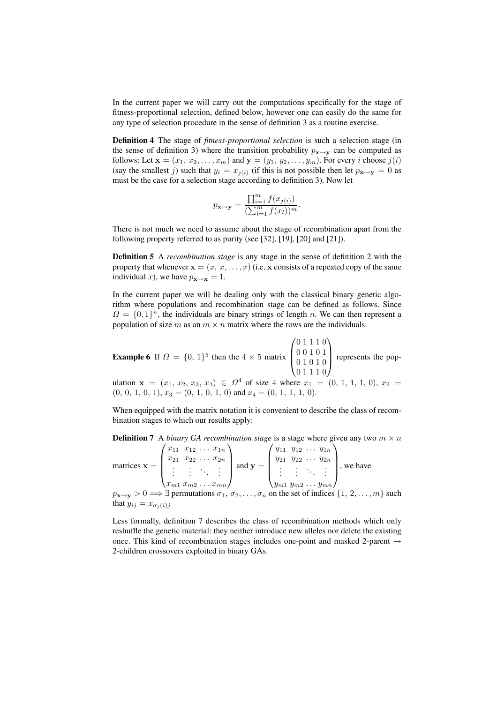In the current paper we will carry out the computations specifically for the stage of fitness-proportional selection, defined below, however one can easily do the same for any type of selection procedure in the sense of definition 3 as a routine exercise.

Definition 4 The stage of *fitness-proportional selection* is such a selection stage (in the sense of definition 3) where the transition probability  $p_{\mathbf{x}\to\mathbf{y}}$  can be computed as follows: Let  $\mathbf{x} = (x_1, x_2, \dots, x_m)$  and  $\mathbf{y} = (y_1, y_2, \dots, y_m)$ . For every *i* choose  $j(i)$ (say the smallest j) such that  $y_i = x_{j(i)}$  (if this is not possible then let  $p_{\mathbf{x} \to \mathbf{y}} = 0$  as must be the case for a selection stage according to definition 3). Now let

$$
p_{\mathbf{x} \to \mathbf{y}} = \frac{\prod_{i=1}^{m} f(x_{j(i)})}{\left(\sum_{l=1}^{m} f(x_l)\right)^m}.
$$

There is not much we need to assume about the stage of recombination apart from the following property referred to as purity (see [32], [19], [20] and [21]).

Definition 5 A *recombination stage* is any stage in the sense of definition 2 with the property that whenever  $\mathbf{x} = (x, x, \dots, x)$  (i.e. x consists of a repeated copy of the same individual x), we have  $p_{\mathbf{x}\to\mathbf{x}} = 1$ .

In the current paper we will be dealing only with the classical binary genetic algorithm where populations and recombination stage can be defined as follows. Since  $\Omega = \{0,1\}^n$ , the individuals are binary strings of length n. We can then represent a population of size m as an  $m \times n$  matrix where the rows are the individuals.

**Example 6** If  $\Omega = \{0, 1\}^5$  then the  $4 \times 5$  matrix  $\overline{\phantom{a}}$  $\vert$ 0 1 1 1 0 0 0 1 0 1 0 1 0 1 0 0 1 1 1 0  $\mathbf{r}$ represents the pop-

ulation  $x = (x_1, x_2, x_3, x_4) \in \Omega^4$  of size 4 where  $x_1 = (0, 1, 1, 1, 0), x_2 =$  $(0, 0, 1, 0, 1), x_3 = (0, 1, 0, 1, 0)$  and  $x_4 = (0, 1, 1, 1, 0)$ .

When equipped with the matrix notation it is convenient to describe the class of recombination stages to which our results apply:

**Definition 7** A *binary GA recombination stage* is a stage where given any two  $m \times n$  $\mathbf{A}_{\mu}$  $x_{11}$   $x_{12}$  ...  $x_{1n}$ nn e,  $y_{11}$   $y_{12}$  ...  $y_{1n}$ 1V)

matrices  $x =$  $\Bigg\}$  $x_{21}$   $x_{22}$  ...  $x_{2n}$ . . . . . . . . . . . .  $x_{m1} x_{m2} \dots x_{mn}$  $\int$  and  $y =$  $\Bigg\}$  $y_{21}$   $y_{22}$   $\ldots$   $y_{2n}$ . . . . . . . . . . . .  $y_{m1} y_{m2} \ldots y_{mn}$ , we have

 $p_{\mathbf{x}\to\mathbf{y}}>0 \Longrightarrow \exists$  permutations  $\sigma_1, \sigma_2, \ldots, \sigma_n$  on the set of indices  $\{1, 2, \ldots, m\}$  such that  $y_{ij} = x_{\sigma_j(i)j}$ 

Less formally, definition 7 describes the class of recombination methods which only reshuffle the genetic material: they neither introduce new alleles nor delete the existing once. This kind of recombination stages includes one-point and masked 2-parent  $\rightarrow$ 2-children crossovers exploited in binary GAs.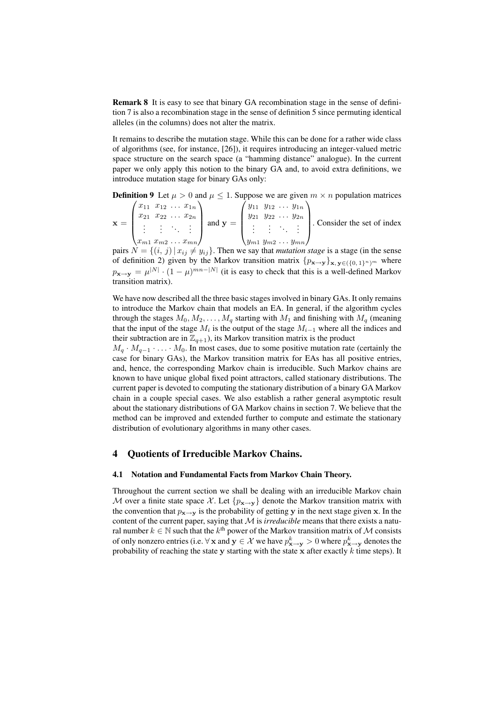Remark 8 It is easy to see that binary GA recombination stage in the sense of definition 7 is also a recombination stage in the sense of definition 5 since permuting identical alleles (in the columns) does not alter the matrix.

It remains to describe the mutation stage. While this can be done for a rather wide class of algorithms (see, for instance, [26]), it requires introducing an integer-valued metric space structure on the search space (a "hamming distance" analogue). In the current paper we only apply this notion to the binary GA and, to avoid extra definitions, we introduce mutation stage for binary GAs only:

**Definition 9** Let  $\mu > 0$  and  $\mu \le 1$ . Suppose we are given  $m \times n$  population matrices  $\begin{pmatrix} x_{11} & x_{12} & \dots & x_{1n} \\ x_{1n} & x_{1n} & \dots & x_{1n} \end{pmatrix}$ 

| $\begin{pmatrix} x_{11} & x_{12} & \ldots & x_{1n} \end{pmatrix}$<br>$x_{21}$ $x_{22}$ $\ldots$ $x_{2n}$<br>1. 主任主义 | $\int y_{11} y_{12} \ldots y_{1n}$<br>$y_{21}$ $y_{22}$ $\cdots$ $y_{2n}$<br>$\left  \begin{array}{c} 1 \text{ and } y = \begin{array}{c} 1 \end{array} \right $ | . Consider the set of index |
|---------------------------------------------------------------------------------------------------------------------|------------------------------------------------------------------------------------------------------------------------------------------------------------------|-----------------------------|
| $\langle x_{m1} x_{m2} \dots x_{mn} \rangle$                                                                        | $\langle y_{m1} y_{m2} \dots y_{mn} \rangle$                                                                                                                     |                             |
|                                                                                                                     |                                                                                                                                                                  |                             |

pairs  $N = \{(i, j) | x_{ij} \neq y_{ij}\}$ . Then we say that *mutation stage* is a stage (in the sense of definition 2) given by the Markov transition matrix  $\{p_{\mathbf{x}\to\mathbf{y}}\}_{\mathbf{x},\mathbf{y}\in\{0,1\}^n/m}$  where  $p_{\mathbf{x}\to\mathbf{y}} = \mu^{|N|} \cdot (1-\mu)^{mn-|N|}$  (it is easy to check that this is a well-defined Markov transition matrix).

We have now described all the three basic stages involved in binary GAs. It only remains to introduce the Markov chain that models an EA. In general, if the algorithm cycles through the stages  $M_0, M_2, \ldots, M_q$  starting with  $M_1$  and finishing with  $M_q$  (meaning that the input of the stage  $M_i$  is the output of the stage  $M_{i-1}$  where all the indices and their subtraction are in  $\mathbb{Z}_{q+1}$ , its Markov transition matrix is the product

 $M_q \cdot M_{q-1} \cdot \ldots \cdot M_0$ . In most cases, due to some positive mutation rate (certainly the case for binary GAs), the Markov transition matrix for EAs has all positive entries, and, hence, the corresponding Markov chain is irreducible. Such Markov chains are known to have unique global fixed point attractors, called stationary distributions. The current paper is devoted to computing the stationary distribution of a binary GA Markov chain in a couple special cases. We also establish a rather general asymptotic result about the stationary distributions of GA Markov chains in section 7. We believe that the method can be improved and extended further to compute and estimate the stationary distribution of evolutionary algorithms in many other cases.

#### 4 Quotients of Irreducible Markov Chains.

#### 4.1 Notation and Fundamental Facts from Markov Chain Theory.

Throughout the current section we shall be dealing with an irreducible Markov chain M over a finite state space X. Let  $\{p_{\mathbf{x}\to\mathbf{y}}\}$  denote the Markov transition matrix with the convention that  $p_{\mathbf{x}\to\mathbf{y}}$  is the probability of getting y in the next stage given x. In the content of the current paper, saying that  $M$  is *irreducible* means that there exists a natural number  $k \in \mathbb{N}$  such that the  $k^{\text{th}}$  power of the Markov transition matrix of M consists of only nonzero entries (i.e.  $\forall$   ${\bf x}$  and  ${\bf y}\in\mathcal{X}$  we have  $p_{{\bf x}\to {\bf y}}^{k}>0$  where  $p_{{\bf x}\to {\bf y}}^{k}$  denotes the probability of reaching the state y starting with the state x after exactly  $k$  time steps). It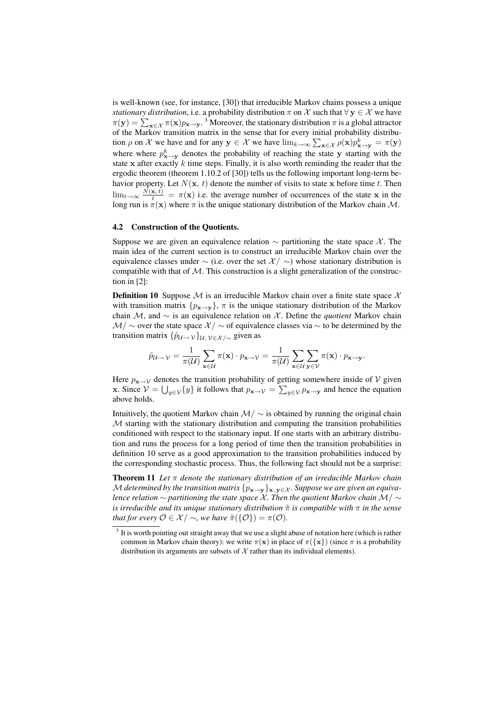is well-known (see, for instance, [30]) that irreducible Markov chains possess a unique *stationary distribution*, i.e. a probability distribution  $\pi$  on X such that  $\forall y \in \mathcal{X}$  we have stationary atstribution, i.e. a probability distribution  $\pi$  on  $\lambda$  such that  $\forall y \in \lambda$  we have  $\pi(y) = \sum_{\mathbf{x} \in \mathcal{X}} \pi(\mathbf{x}) p_{\mathbf{x} \to \mathbf{y}}^3$ . Moreover, the stationary distribution  $\pi$  is a global attractor of the Markov transition matrix in the sense that for every initial probability distribution *ρ* on *X* we have and for any  $y \in X$  we have  $\lim_{k\to\infty} \sum_{x \in X} \rho(x) p_{x\to y}^k = \pi(y)$ where where  $p_{\mathbf{x} \to \mathbf{y}}^k$  denotes the probability of reaching the state y starting with the state x after exactly  $k$  time steps. Finally, it is also worth reminding the reader that the ergodic theorem (theorem 1.10.2 of [30]) tells us the following important long-term behavior property. Let  $N(\mathbf{x}, t)$  denote the number of visits to state x before time t. Then  $\lim_{t\to\infty} \frac{N(\mathbf{x},t)}{t} = \pi(\mathbf{x})$  i.e. the average number of occurrences of the state x in the long run is  $\pi(\mathbf{x})$  where  $\pi$  is the unique stationary distribution of the Markov chain M.

#### 4.2 Construction of the Quotients.

Suppose we are given an equivalence relation  $\sim$  partitioning the state space X. The main idea of the current section is to construct an irreducible Markov chain over the equivalence classes under  $\sim$  (i.e. over the set  $\mathcal{X}' \sim$ ) whose stationary distribution is compatible with that of  $M$ . This construction is a slight generalization of the construction in [2]:

**Definition 10** Suppose  $M$  is an irreducible Markov chain over a finite state space  $X$ with transition matrix  $\{p_{\mathbf{x}\to\mathbf{v}}\}\$ ,  $\pi$  is the unique stationary distribution of the Markov chain M, and ∼ is an equivalence relation on X . Define the *quotient* Markov chain  $\mathcal{M}/\sim$  over the state space  $\mathcal{X}/\sim$  of equivalence classes via  $\sim$  to be determined by the transition matrix  $\{\tilde{p}_{\mathcal{U}\rightarrow\mathcal{V}}\}_{\mathcal{U},\mathcal{V}\in\mathcal{X}/\sim}$  given as

$$
\tilde{p}_{\mathcal{U}\to \mathcal{V}} = \frac{1}{\pi(\mathcal{U})} \sum_{\mathbf{x}\in \mathcal{U}} \pi(\mathbf{x}) \cdot p_{\mathbf{x}\to \mathcal{V}} = \frac{1}{\pi(\mathcal{U})} \sum_{\mathbf{x}\in \mathcal{U}} \sum_{\mathbf{y}\in \mathcal{V}} \pi(\mathbf{x}) \cdot p_{\mathbf{x}\to \mathbf{y}}.
$$

Here  $p_{\mathbf{x}\to\mathcal{V}}$  denotes the transition probability of getting somewhere inside of  $\mathcal{V}$  given x. Since  $V = \bigcup_{y \in V} \{y\}$  it follows that  $p_{\mathbf{x} \to V} = \sum_{y \in V} p_{\mathbf{x} \to \mathbf{y}}$  and hence the equation above holds.

Intuitively, the quotient Markov chain  $\mathcal{M}/\sim$  is obtained by running the original chain  $M$  starting with the stationary distribution and computing the transition probabilities conditioned with respect to the stationary input. If one starts with an arbitrary distribution and runs the process for a long period of time then the transition probabilities in definition 10 serve as a good approximation to the transition probabilities induced by the corresponding stochastic process. Thus, the following fact should not be a surprise:

Theorem 11 *Let* π *denote the stationary distribution of an irreducible Markov chain* M determined by the transition matrix  $\{p_{\mathbf{x}\to\mathbf{y}}\}_{\mathbf{x},\mathbf{y}\in\mathcal{X}}$ *. Suppose we are given an equivalence relation* ∼ *partitioning the state space* X *. Then the quotient Markov chain* M/ ∼ *is irreducible and its unique stationary distribution* π˜ *is compatible with* π *in the sense that for every*  $\mathcal{O} \in \mathcal{X} \setminus \sim$ *, we have*  $\tilde{\pi}(\{\mathcal{O}\}) = \pi(\mathcal{O})$ *.* 

 $3$  It is worth pointing out straight away that we use a slight abuse of notation here (which is rather common in Markov chain theory): we write  $\pi(\mathbf{x})$  in place of  $\pi({\mathbf{x}})$  (since  $\pi$  is a probability distribution its arguments are subsets of  $X$  rather than its individual elements).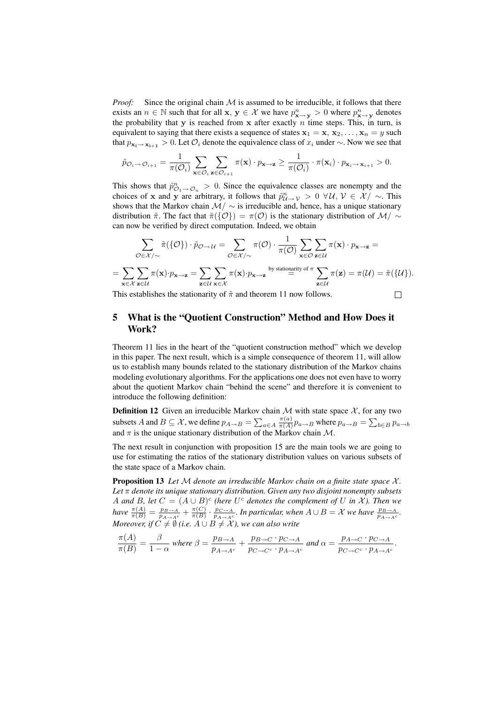*Proof:* Since the original chain  $M$  is assumed to be irreducible, it follows that there exists an  $n \in \mathbb{N}$  such that for all  $x, y \in \mathcal{X}$  we have  $p_{x \to y}^n > 0$  where  $p_{x \to y}^n$  denotes the probability that y is reached from x after exactly  $n$  time steps. This, in turn, is equivalent to saying that there exists a sequence of states  $x_1 = x, x_2, \ldots, x_n = y$  such that  $p_{\mathbf{x}_i\to\mathbf{x}_{i+1}} > 0$ . Let  $\mathcal{O}_i$  denote the equivalence class of  $x_i$  under  $\sim$ . Now we see that

$$
\tilde{p}_{\mathcal{O}_{i} \rightarrow \mathcal{O}_{i+1}} = \frac{1}{\pi(\mathcal{O}_{i})} \sum_{\mathbf{x} \in \mathcal{O}_{i}} \sum_{\mathbf{z} \in \mathcal{O}_{i+1}} \pi(\mathbf{x}) \cdot p_{\mathbf{x} \rightarrow \mathbf{z}} \ge \frac{1}{\pi(\mathcal{O}_{i})} \cdot \pi(\mathbf{x}_{i}) \cdot p_{\mathbf{x}_{i} \rightarrow \mathbf{x}_{i+1}} > 0.
$$

This shows that  $\tilde{p}^n_{\mathcal{O}_1 \to \mathcal{O}_n} > 0$ . Since the equivalence classes are nonempty and the choices of x and y are arbitrary, it follows that  $\tilde{p}_{\mathcal{U}\to\mathcal{V}}^n > 0 \ \forall \mathcal{U}, \mathcal{V} \in \mathcal{X}/\sim$ . This shows that the Markov chain  $\mathcal{M}/\sim$  is irreducible and, hence, has a unique stationary distribution  $\tilde{\pi}$ . The fact that  $\tilde{\pi}(\{\mathcal{O}\}) = \pi(\mathcal{O})$  is the stationary distribution of  $\mathcal{M}/\sim$ can now be verified by direct computation. Indeed, we obtain

$$
\sum_{\mathcal{O}\in\mathcal{X}/\sim}\tilde{\pi}(\{\mathcal{O}\})\cdot\tilde{p}_{\mathcal{O}\to\mathcal{U}}=\sum_{\mathcal{O}\in\mathcal{X}/\sim}\pi(\mathcal{O})\cdot\frac{1}{\pi(\mathcal{O})}\sum_{\mathbf{x}\in\mathcal{O}}\sum_{\mathbf{z}\in\mathcal{U}}\pi(\mathbf{x})\cdot p_{\mathbf{x}\to\mathbf{z}}=\n= \sum_{\mathbf{x}\in\mathcal{X}}\sum_{\mathbf{z}\in\mathcal{U}}\pi(\mathbf{x})\cdot p_{\mathbf{x}\to\mathbf{z}}=\sum_{\mathbf{z}\in\mathcal{U}}\sum_{\mathbf{x}\in\mathcal{X}}\pi(\mathbf{x})\cdot p_{\mathbf{x}\to\mathbf{z}}\stackrel{\text{by stationary of }\pi}{=}\sum_{\mathbf{z}\in\mathcal{U}}\pi(\mathbf{z})=\pi(\mathcal{U})=\tilde{\pi}(\{\mathcal{U}\}).
$$
\nThis establishes the stationarity of \$\tilde{\pi}\$ and theorem 11 now follows.

This establishes the stationarity of  $\tilde{\pi}$  and theorem 11 now follows.

5 What is the "Quotient Construction" Method and How Does it Work?

Theorem 11 lies in the heart of the "quotient construction method" which we develop in this paper. The next result, which is a simple consequence of theorem 11, will allow us to establish many bounds related to the stationary distribution of the Markov chains modeling evolutionary algorithms. For the applications one does not even have to worry about the quotient Markov chain "behind the scene" and therefore it is convenient to introduce the following definition:

**Definition 12** Given an irreducible Markov chain  $M$  with state space  $X$ , for any two subsets A and  $B \subseteq \mathcal{X}$ , we define  $p_{A\rightarrow B} = \sum$  $a \in A \frac{\pi(a)}{\pi(A)}$  $\frac{\pi(a)}{\pi(A)} p_{a\to B}$  where  $p_{a\to B} = \sum_{b \in B} p_{a\to b}$ and  $\pi$  is the unique stationary distribution of the Markov chain  $\mathcal{M}$ .

The next result in conjunction with proposition 15 are the main tools we are going to use for estimating the ratios of the stationary distribution values on various subsets of the state space of a Markov chain.

Proposition 13 Let M denote an irreducible Markov chain on a finite state space X. *Let* π *denote its unique stationary distribution. Given any two disjoint nonempty subsets A* and *B*, let  $C = (A \cup B)^c$  (here  $U^c$  denotes the complement of U in X). Then we *have*  $\frac{\pi(A)}{\pi(B)} = \frac{p_{B\to A}}{p_{A\to A^c}} + \frac{\pi(C)}{\pi(B)}$  $\frac{\pi(C)}{\pi(B)} \cdot \frac{p_{C \to A}}{p_{A \to A^c}}$ . In particular, when  $A \cup B = X$  we have  $\frac{p_{B \to A}}{p_{A \to A^c}}$ . *Moreover, if*  $C \neq \emptyset$  (i.e.  $A \cup B \neq \mathcal{X}$  ), we can also write

$$
\frac{\pi(A)}{\pi(B)} = \frac{\beta}{1-\alpha} \text{ where } \beta = \frac{p_{B\rightarrow A}}{p_{A\rightarrow A^c}} + \frac{p_{B\rightarrow C} \cdot p_{C\rightarrow A}}{p_{C\rightarrow C^c} \cdot p_{A\rightarrow A^c}} \text{ and } \alpha = \frac{p_{A\rightarrow C} \cdot p_{C\rightarrow A}}{p_{C\rightarrow C^c} \cdot p_{A\rightarrow A^c}}.
$$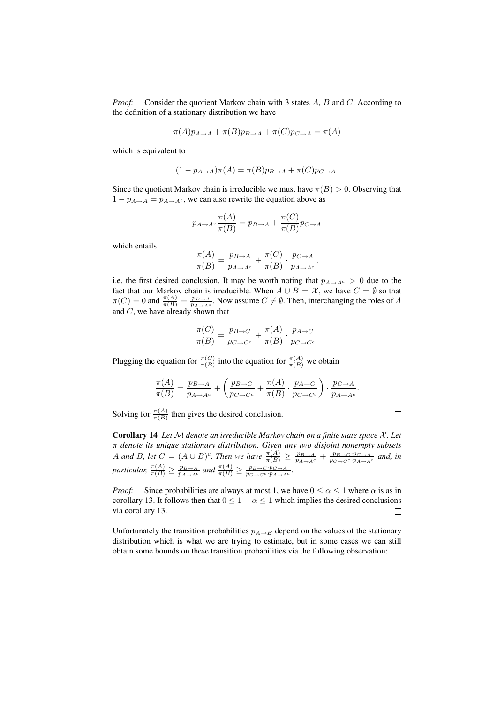*Proof:* Consider the quotient Markov chain with 3 states A, B and C. According to the definition of a stationary distribution we have

$$
\pi(A)p_{A\to A} + \pi(B)p_{B\to A} + \pi(C)p_{C\to A} = \pi(A)
$$

which is equivalent to

$$
(1 - p_{A \to A})\pi(A) = \pi(B)p_{B \to A} + \pi(C)p_{C \to A}.
$$

Since the quotient Markov chain is irreducible we must have  $\pi(B) > 0$ . Observing that  $1 - p_{A\rightarrow A} = p_{A\rightarrow A^c}$ , we can also rewrite the equation above as

$$
p_{A \to A^c} \frac{\pi(A)}{\pi(B)} = p_{B \to A} + \frac{\pi(C)}{\pi(B)} p_{C \to A}
$$

which entails

$$
\frac{\pi(A)}{\pi(B)} = \frac{p_{B \to A}}{p_{A \to A^c}} + \frac{\pi(C)}{\pi(B)} \cdot \frac{p_{C \to A}}{p_{A \to A^c}},
$$

i.e. the first desired conclusion. It may be worth noting that  $p_{A\rightarrow A_c} > 0$  due to the fact that our Markov chain is irreducible. When  $A \cup B = \mathcal{X}$ , we have  $C = \emptyset$  so that  $\pi(C) = 0$  and  $\frac{\pi(A)}{\pi(B)} = \frac{p_{B\to A}}{p_{A\to A^c}}$ . Now assume  $C \neq \emptyset$ . Then, interchanging the roles of A and C, we have already shown that

$$
\frac{\pi(C)}{\pi(B)} = \frac{p_{B \to C}}{p_{C \to C^c}} + \frac{\pi(A)}{\pi(B)} \cdot \frac{p_{A \to C}}{p_{C \to C^c}}.
$$

Plugging the equation for  $\frac{\pi(C)}{\pi(B)}$  into the equation for  $\frac{\pi(A)}{\pi(B)}$  we obtain

$$
\frac{\pi(A)}{\pi(B)} = \frac{p_{B \to A}}{p_{A \to A^c}} + \left(\frac{p_{B \to C}}{p_{C \to C^c}} + \frac{\pi(A)}{\pi(B)} \cdot \frac{p_{A \to C}}{p_{C \to C^c}}\right) \cdot \frac{p_{C \to A}}{p_{A \to A^c}}.
$$

Solving for  $\frac{\pi(A)}{\pi(B)}$  then gives the desired conclusion.

Corollary 14 *Let* M *denote an irreducible Markov chain on a finite state space* X *. Let* π *denote its unique stationary distribution. Given any two disjoint nonempty subsets* A and B, let  $C = (A \cup B)^c$ . Then we have  $\frac{\pi(A)}{\pi(B)} \ge \frac{p_{B\to A}}{p_{A\to A^c}} + \frac{p_{B\to C} \cdot p_{C\to A}}{p_{C\to C} \cdot p_{A\to A^c}}$  and, in *particular,*  $\frac{\pi(A)}{\pi(B)} \ge \frac{p_{B\to A}}{p_{A\to A^c}}$  *and*  $\frac{\pi(A)}{\pi(B)} \ge \frac{p_{B\to C} \cdot p_{C\to A}}{p_{C\to C} \cdot p_{A\to A^c}}$ *.* 

*Proof:* Since probabilities are always at most 1, we have  $0 \le \alpha \le 1$  where  $\alpha$  is as in corollary 13. It follows then that  $0 \le 1 - \alpha \le 1$  which implies the desired conclusions via corollary 13.  $\Box$ 

Unfortunately the transition probabilities  $p_{A\rightarrow B}$  depend on the values of the stationary distribution which is what we are trying to estimate, but in some cases we can still obtain some bounds on these transition probabilities via the following observation:

$$
\qquad \qquad \Box
$$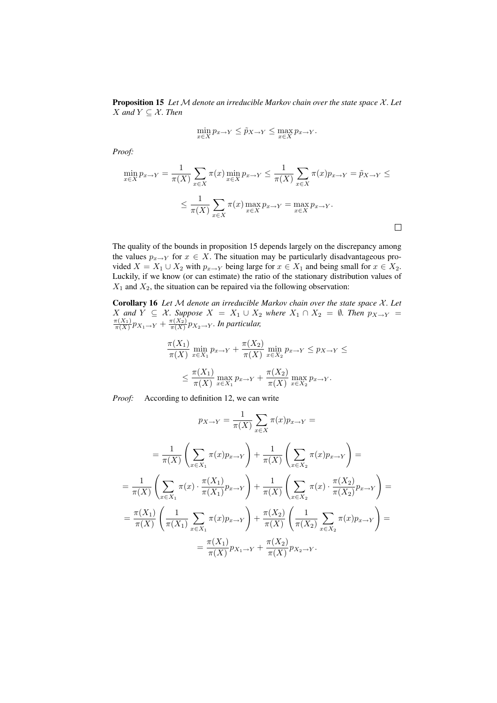Proposition 15 *Let* M *denote an irreducible Markov chain over the state space* X *. Let X* and  $Y \subseteq \mathcal{X}$ *. Then* 

$$
\min_{x \in X} p_{x \to Y} \le \tilde{p}_{X \to Y} \le \max_{x \in X} p_{x \to Y}.
$$

*Proof:*

$$
\min_{x \in X} p_{x \to Y} = \frac{1}{\pi(X)} \sum_{x \in X} \pi(x) \min_{x \in X} p_{x \to Y} \le \frac{1}{\pi(X)} \sum_{x \in X} \pi(x) p_{x \to Y} = \tilde{p}_{X \to Y} \le
$$
  

$$
\le \frac{1}{\pi(X)} \sum_{x \in X} \pi(x) \max_{x \in X} p_{x \to Y} = \max_{x \in X} p_{x \to Y}.
$$

The quality of the bounds in proposition 15 depends largely on the discrepancy among the values  $p_{x\to Y}$  for  $x \in X$ . The situation may be particularly disadvantageous provided  $X = X_1 \cup X_2$  with  $p_{x \to Y}$  being large for  $x \in X_1$  and being small for  $x \in X_2$ . Luckily, if we know (or can estimate) the ratio of the stationary distribution values of  $X_1$  and  $X_2$ , the situation can be repaired via the following observation:

Corollary 16 *Let* M *denote an irreducible Markov chain over the state space* X *. Let X* and *Y* ⊆ *X*. Suppose *X* = *X*<sub>1</sub> ∪ *X*<sub>2</sub> where *X*<sub>1</sub> ∩ *X*<sub>2</sub> = ∅*. Then*  $p_{X\to Y} = \frac{\pi(X_1)}{\pi(X)} p_{X_1\to Y} + \frac{\pi(X_2)}{\pi(X)} p_{X_2\to Y}$ . In particular,

$$
\frac{\pi(X_1)}{\pi(X)} \min_{x \in X_1} p_{x \to Y} + \frac{\pi(X_2)}{\pi(X)} \min_{x \in X_2} p_{x \to Y} \le p_{X \to Y} \le
$$
  

$$
\le \frac{\pi(X_1)}{\pi(X)} \max_{x \in X_1} p_{x \to Y} + \frac{\pi(X_2)}{\pi(X)} \max_{x \in X_2} p_{x \to Y}.
$$

*Proof:* According to definition 12, we can write

$$
p_{X \to Y} = \frac{1}{\pi(X)} \sum_{x \in X} \pi(x) p_{x \to Y} =
$$
  
\n
$$
= \frac{1}{\pi(X)} \left( \sum_{x \in X_1} \pi(x) p_{x \to Y} \right) + \frac{1}{\pi(X)} \left( \sum_{x \in X_2} \pi(x) p_{x \to Y} \right) =
$$
  
\n
$$
= \frac{1}{\pi(X)} \left( \sum_{x \in X_1} \pi(x) \cdot \frac{\pi(X_1)}{\pi(X_1)} p_{x \to Y} \right) + \frac{1}{\pi(X)} \left( \sum_{x \in X_2} \pi(x) \cdot \frac{\pi(X_2)}{\pi(X_2)} p_{x \to Y} \right) =
$$
  
\n
$$
= \frac{\pi(X_1)}{\pi(X)} \left( \frac{1}{\pi(X_1)} \sum_{x \in X_1} \pi(x) p_{x \to Y} \right) + \frac{\pi(X_2)}{\pi(X)} \left( \frac{1}{\pi(X_2)} \sum_{x \in X_2} \pi(x) p_{x \to Y} \right) =
$$
  
\n
$$
= \frac{\pi(X_1)}{\pi(X)} p_{X_1 \to Y} + \frac{\pi(X_2)}{\pi(X)} p_{X_2 \to Y}.
$$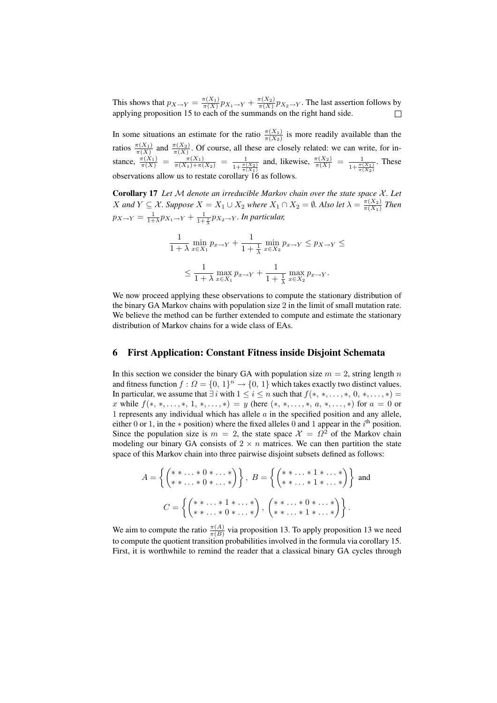This shows that  $p_{X\to Y} = \frac{\pi(X_1)}{\pi(X)} p_{X_1\to Y} + \frac{\pi(X_2)}{\pi(X)} p_{X_2\to Y}$ . The last assertion follows by applying proposition 15 to each of the summands on the right hand side.  $\Box$ 

In some situations an estimate for the ratio  $\frac{\pi(X_1)}{\pi(X_2)}$  is more readily available than the ratios  $\frac{\pi(X_1)}{\pi(X)}$  and  $\frac{\pi(X_2)}{\pi(X)}$ . Of course, all these are closely related: we can write, for instance,  $\frac{\pi(X_1)}{\pi(X)} = \frac{\pi(X_1)}{\pi(X_1) + \pi(X_2)} = \frac{1}{1 + \frac{\pi(X_2)}{\pi(X_1)}}$ and, likewise,  $\frac{\pi(X_2)}{\pi(X)} = \frac{1}{1 + \frac{\pi(X_1)}{\pi(X_2)}}$ . These observations allow us to restate corollary  $16$  as foll

Corollary 17 *Let* M *denote an irreducible Markov chain over the state space* X *. Let* X and  $Y \subseteq \mathcal{X}$ . Suppose  $X = X_1 \cup X_2$  where  $X_1 \cap X_2 = \emptyset$ . Also let  $\lambda = \frac{\pi(X_2)}{\pi(X_1)}$  $\frac{\pi(X_2)}{\pi(X_1)}$  Then  $p_{X\rightarrow Y} = \frac{1}{1+\lambda}p_{X_1\rightarrow Y} + \frac{1}{1+\frac{1}{\lambda}}p_{X_2\rightarrow Y}$ *. In particular,* 

$$
\frac{1}{1+\lambda}\min_{x\in X_1}p_{x\to Y} + \frac{1}{1+\frac{1}{\lambda}}\min_{x\in X_2}p_{x\to Y} \le p_{X\to Y} \le
$$
  

$$
\le \frac{1}{1+\lambda}\max_{x\in X_1}p_{x\to Y} + \frac{1}{1+\frac{1}{\lambda}}\max_{x\in X_2}p_{x\to Y}.
$$

We now proceed applying these observations to compute the stationary distribution of the binary GA Markov chains with population size 2 in the limit of small mutation rate. We believe the method can be further extended to compute and estimate the stationary distribution of Markov chains for a wide class of EAs.

#### 6 First Application: Constant Fitness inside Disjoint Schemata

In this section we consider the binary GA with population size  $m = 2$ , string length n and fitness function  $f : \Omega = \{0, 1\}^n \rightarrow \{0, 1\}$  which takes exactly two distinct values. In particular, we assume that  $\exists i$  with  $1 \leq i \leq n$  such that  $f(*, *, \ldots, *, 0, *, \ldots, *) =$ x while  $f(*, *, \ldots, *, 1, *, \ldots, *) = y$  (here  $(*, *, \ldots, *, a, *, \ldots, *)$  for  $a = 0$  or 1 represents any individual which has allele  $a$  in the specified position and any allele, either 0 or 1, in the  $*$  position) where the fixed alleles 0 and 1 appear in the  $i<sup>th</sup>$  position. Since the population size is  $m = 2$ , the state space  $\mathcal{X} = \Omega^2$  of the Markov chain modeling our binary GA consists of  $2 \times n$  matrices. We can then partition the state space of this Markov chain into three pairwise disjoint subsets defined as follows:

$$
A = \left\{ \begin{pmatrix} * & * & * & * & * \\ * & * & * & * & * & * \end{pmatrix} \right\}, \ B = \left\{ \begin{pmatrix} * & * & * & * & * & * \\ * & * & * & * & * & * & * \end{pmatrix} \right\} \text{ and }
$$

$$
C = \left\{ \begin{pmatrix} * & * & * & * & * & * \\ * & * & * & * & * & * & * \end{pmatrix}, \begin{pmatrix} * & * & * & * & * & * & * \\ * & * & * & * & * & * & * & * \end{pmatrix} \right\}.
$$

We aim to compute the ratio  $\frac{\pi(A)}{\pi(B)}$  via proposition 13. To apply proposition 13 we need to compute the quotient transition probabilities involved in the formula via corollary 15. First, it is worthwhile to remind the reader that a classical binary GA cycles through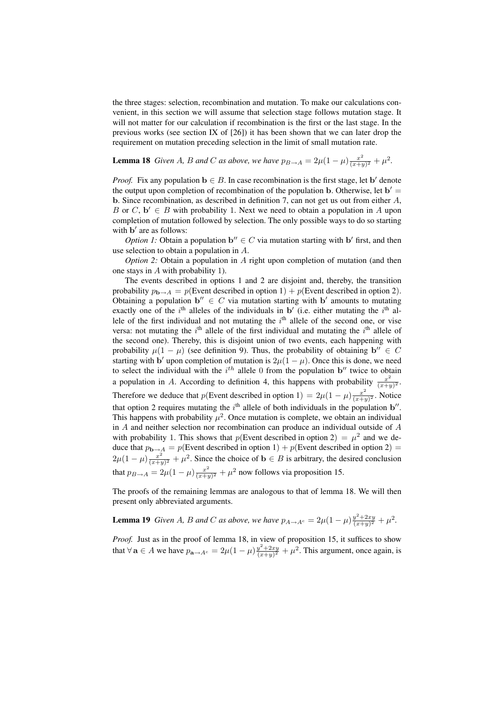the three stages: selection, recombination and mutation. To make our calculations convenient, in this section we will assume that selection stage follows mutation stage. It will not matter for our calculation if recombination is the first or the last stage. In the previous works (see section IX of [26]) it has been shown that we can later drop the requirement on mutation preceding selection in the limit of small mutation rate.

**Lemma 18** *Given A, B and C as above, we have*  $p_{B\rightarrow A} = 2\mu(1-\mu)\frac{x^2}{(x+\mu)^2}$  $\frac{x^2}{(x+y)^2} + \mu^2$ .

*Proof.* Fix any population  $\mathbf{b} \in B$ . In case recombination is the first stage, let  $\mathbf{b}'$  denote the output upon completion of recombination of the population b. Otherwise, let  $b' =$ b. Since recombination, as described in definition 7, can not get us out from either  $A$ , B or  $C, b' \in B$  with probability 1. Next we need to obtain a population in A upon completion of mutation followed by selection. The only possible ways to do so starting with **b**' are as follows:

*Option 1:* Obtain a population  $\mathbf{b}'' \in C$  via mutation starting with  $\mathbf{b}'$  first, and then use selection to obtain a population in A.

*Option 2:* Obtain a population in A right upon completion of mutation (and then one stays in A with probability 1).

The events described in options 1 and 2 are disjoint and, thereby, the transition probability  $p_{\mathbf{b}\to A} = p(\text{Event described in option 1}) + p(\text{Event described in option 2}).$ Obtaining a population  $\mathbf{b}'' \in C$  via mutation starting with  $\mathbf{b}'$  amounts to mutating exactly one of the  $i<sup>th</sup>$  alleles of the individuals in b' (i.e. either mutating the  $i<sup>th</sup>$  allele of the first individual and not mutating the  $i<sup>th</sup>$  allele of the second one, or vise versa: not mutating the  $i<sup>th</sup>$  allele of the first individual and mutating the  $i<sup>th</sup>$  allele of the second one). Thereby, this is disjoint union of two events, each happening with probability  $\mu(1 - \mu)$  (see definition 9). Thus, the probability of obtaining  $\mathbf{b}'' \in C$ starting with b' upon completion of mutation is  $2\mu(1-\mu)$ . Once this is done, we need to select the individual with the  $i^{th}$  allele 0 from the population  $b''$  twice to obtain a population in A. According to definition 4, this happens with probability  $\frac{x^2}{(x+1)}$  $\frac{x^2}{(x+y)^2}$ . Therefore we deduce that p(Event described in option 1) =  $2\mu(1-\mu)\frac{x^2}{\sqrt{n+e}}$  $\frac{x^2}{(x+y)^2}$ . Notice that option 2 requires mutating the  $i<sup>th</sup>$  allele of both individuals in the population b''. This happens with probability  $\mu^2$ . Once mutation is complete, we obtain an individual in A and neither selection nor recombination can produce an individual outside of A with probability 1. This shows that  $p(\text{Event described in option 2}) = \mu^2$  and we deduce that  $p_{\mathbf{b}\to A} = p$ (Event described in option 1) + p(Event described in option 2) =  $2\mu(1-\mu)\frac{x^2}{(x+a)}$  $\frac{x^2}{(x+y)^2} + \mu^2$ . Since the choice of  $\mathbf{b} \in B$  is arbitrary, the desired conclusion that  $p_{B\to A} = 2\mu(1-\mu)\frac{x^2}{(x+\mu)^2}$  $\frac{x^2}{(x+y)^2} + \mu^2$  now follows via proposition 15.

The proofs of the remaining lemmas are analogous to that of lemma 18. We will then present only abbreviated arguments.

**Lemma 19** *Given A, B and C as above, we have*  $p_{A\to A^c} = 2\mu(1-\mu)\frac{y^2+2xy}{(x+y)^2} + \mu^2$ .

*Proof.* Just as in the proof of lemma 18, in view of proposition 15, it suffices to show that  $\forall$  **a**  $\in$  *A* we have  $p_{\mathbf{a}\to A^c} = 2\mu(1-\mu)\frac{y^2+2xy}{(x+y)^2} + \mu^2$ . This argument, once again, is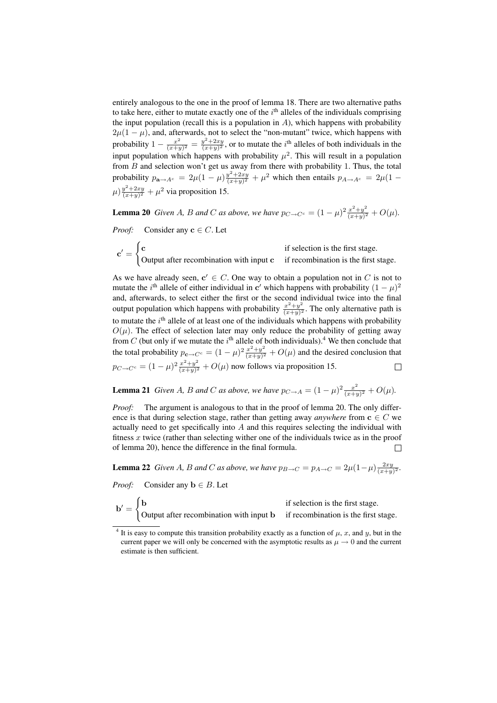entirely analogous to the one in the proof of lemma 18. There are two alternative paths to take here, either to mutate exactly one of the  $i<sup>th</sup>$  alleles of the individuals comprising the input population (recall this is a population in  $A$ ), which happens with probability  $2\mu(1-\mu)$ , and, afterwards, not to select the "non-mutant" twice, which happens with probability  $1 - \frac{x^2}{(x + x)}$  $\frac{x^2}{(x+y)^2} = \frac{y^2 + 2xy}{(x+y)^2}$ , or to mutate the i<sup>th</sup> alleles of both individuals in the input population which happens with probability  $\mu^2$ . This will result in a population from  $B$  and selection won't get us away from there with probability 1. Thus, the total probability  $p_{\mathbf{a}\to A^c} = 2\mu(1-\mu)\frac{y^2+2xy}{(x+y)^2} + \mu^2$  which then entails  $p_{A\to A^c} = 2\mu(1-\mu)$  $\mu$ )  $\frac{y^2 + 2xy}{(x+y)^2} + \mu^2$  via proposition 15.

**Lemma 20** *Given A, B and C as above, we have*  $p_{C\rightarrow C^c} = (1 - \mu)^2 \frac{x^2 + y^2}{(x + \mu)^2}$  $\frac{x^2+y^2}{(x+y)^2} + O(\mu).$ 

*Proof:* Consider any  $c \in C$ . Let

 $\mathbf{c}^\prime =$  $\overline{a}$  $\mathbf c$  if selection is the first stage. Output after recombination with input  $c$  if recombination is the first stage.

As we have already seen,  $c' \in C$ . One way to obtain a population not in C is not to mutate the i<sup>th</sup> allele of either individual in c' which happens with probability  $(1 - \mu)^2$ and, afterwards, to select either the first or the second individual twice into the final output population which happens with probability  $\frac{x^2+y^2}{(x+y)^2}$  $\frac{x^2+y^2}{(x+y)^2}$ . The only alternative path is to mutate the  $i<sup>th</sup>$  allele of at least one of the individuals which happens with probability  $O(\mu)$ . The effect of selection later may only reduce the probability of getting away from C (but only if we mutate the  $i^{\text{th}}$  allele of both individuals).<sup>4</sup> We then conclude that the total probability  $p_{\mathbf{c}\to C^c} = (1-\mu)^2 \frac{x^2+y^2}{(x+y)^2}$  $\frac{x^2+y^2}{(x+y)^2}$  +  $O(\mu)$  and the desired conclusion that  $p_{C \to C^c} = (1 - \mu)^2 \frac{x^2 + y^2}{(x + y)^2}$  $\frac{x^2+y^2}{(x+y)^2}$  +  $O(\mu)$  now follows via proposition 15.  $\Box$ 

**Lemma 21** *Given A, B and C as above, we have*  $p_{C\rightarrow A} = (1 - \mu)^2 \frac{x^2}{(x + \mu)^2}$  $\frac{x^2}{(x+y)^2} + O(\mu).$ 

*Proof:* The argument is analogous to that in the proof of lemma 20. The only difference is that during selection stage, rather than getting away *anywhere* from  $c \in C$  we actually need to get specifically into  $A$  and this requires selecting the individual with fitness  $x$  twice (rather than selecting wither one of the individuals twice as in the proof of lemma 20), hence the difference in the final formula.  $\Box$ 

**Lemma 22** *Given A, B and C as above, we have*  $p_{B\to C} = p_{A\to C} = 2\mu(1-\mu)\frac{2xy}{(x+y)^2}$ .

*Proof:* Consider any  $\mathbf{b} \in B$ . Let

 $\overline{a}$ 

 $\mathbf{b}' = \begin{cases} \mathbf{b} & \text{if selection is the first stage.} \\ \end{cases}$ Output after recombination with input b if recombination is the first stage.

<sup>&</sup>lt;sup>4</sup> It is easy to compute this transition probability exactly as a function of  $\mu$ , x, and y, but in the current paper we will only be concerned with the asymptotic results as  $\mu \to 0$  and the current estimate is then sufficient.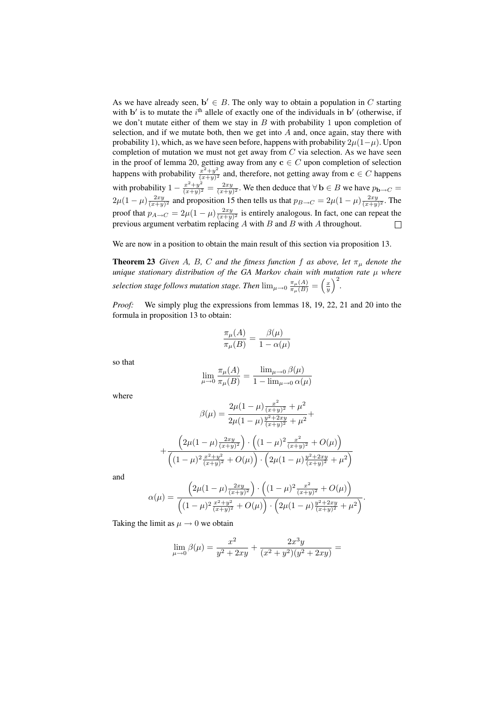As we have already seen,  $\mathbf{b}' \in B$ . The only way to obtain a population in C starting with  $\mathbf{b}'$  is to mutate the i<sup>th</sup> allele of exactly one of the individuals in  $\mathbf{b}'$  (otherwise, if we don't mutate either of them we stay in  $B$  with probability 1 upon completion of selection, and if we mutate both, then we get into  $A$  and, once again, stay there with probability 1), which, as we have seen before, happens with probability  $2\mu(1-\mu)$ . Upon completion of mutation we must not get away from  $C$  via selection. As we have seen in the proof of lemma 20, getting away from any  $c \in C$  upon completion of selection happens with probability  $\frac{x^2+y^2}{(x+y)^2}$  $\frac{x^2+y^2}{(x+y)^2}$  and, therefore, not getting away from  $c \in C$  happens with probability  $1 - \frac{x^2 + y^2}{(x+y)^2}$  $\frac{x^2+y^2}{(x+y)^2} = \frac{2xy}{(x+y)^2}$ . We then deduce that  $\forall$  **b**  $\in$  *B* we have  $p_{\mathbf{b}\to C}$  =  $2\mu(1-\mu)\frac{2xy}{(x+y)^2}$  and proposition 15 then tells us that  $p_{B\to C} = 2\mu(1-\mu)\frac{2xy}{(x+y)^2}$ . The proof that  $p_{A\to C} = 2\mu(1-\mu)\frac{2xy}{(x+y)^2}$  is entirely analogous. In fact, one can repeat the previous argument verbatim replacing  $A$  with  $B$  and  $B$  with  $A$  throughout.  $\Box$ 

We are now in a position to obtain the main result of this section via proposition 13.

**Theorem 23** *Given A, B, C and the fitness function f as above, let*  $\pi_{\mu}$  *denote the unique stationary distribution of the GA Markov chain with mutation rate*  $\mu$  *where selection stage follows mutation stage. Then*  $\lim_{\mu \to 0} \frac{\pi_{\mu}(A)}{\pi_{\mu}(B)} = \left(\frac{x}{y}\right)^2$ .

*Proof:* We simply plug the expressions from lemmas 18, 19, 22, 21 and 20 into the formula in proposition 13 to obtain:

$$
\frac{\pi_{\mu}(A)}{\pi_{\mu}(B)} = \frac{\beta(\mu)}{1 - \alpha(\mu)}
$$

so that

$$
\lim_{\mu \to 0} \frac{\pi_{\mu}(A)}{\pi_{\mu}(B)} = \frac{\lim_{\mu \to 0} \beta(\mu)}{1 - \lim_{\mu \to 0} \alpha(\mu)}
$$

where

$$
\beta(\mu) = \frac{2\mu(1-\mu)\frac{x^2}{(x+y)^2} + \mu^2}{2\mu(1-\mu)\frac{y^2 + 2xy}{(x+y)^2} + \mu^2} +
$$

$$
+\frac{\left(2\mu(1-\mu)\frac{2xy}{(x+y)^2}\right)\cdot\left((1-\mu)^2\frac{x^2}{(x+y)^2}+O(\mu)\right)}{\left((1-\mu)^2\frac{x^2+y^2}{(x+y)^2}+O(\mu)\right)\cdot\left(2\mu(1-\mu)\frac{y^2+2xy}{(x+y)^2}+\mu^2\right)}
$$

and

$$
\alpha(\mu) = \frac{\left(2\mu(1-\mu)\frac{2xy}{(x+y)^2}\right) \cdot \left((1-\mu)^2 \frac{x^2}{(x+y)^2} + O(\mu)\right)}{\left((1-\mu)^2 \frac{x^2+y^2}{(x+y)^2} + O(\mu)\right) \cdot \left(2\mu(1-\mu)\frac{y^2+2xy}{(x+y)^2} + \mu^2\right)}.
$$

Taking the limit as  $\mu \rightarrow 0$  we obtain

$$
\lim_{\mu \to 0} \beta(\mu) = \frac{x^2}{y^2 + 2xy} + \frac{2x^3y}{(x^2 + y^2)(y^2 + 2xy)} =
$$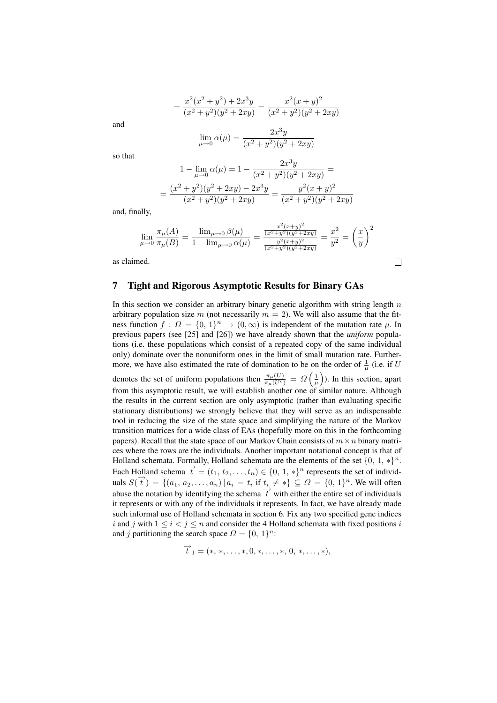$$
= \frac{x^2(x^2+y^2) + 2x^3y}{(x^2+y^2)(y^2+2xy)} = \frac{x^2(x+y)^2}{(x^2+y^2)(y^2+2xy)}
$$

and

$$
\lim_{\mu \to 0} \alpha(\mu) = \frac{2x^3y}{(x^2 + y^2)(y^2 + 2xy)}
$$

so that

$$
1 - \lim_{\mu \to 0} \alpha(\mu) = 1 - \frac{2x^3y}{(x^2 + y^2)(y^2 + 2xy)} =
$$
  
= 
$$
\frac{(x^2 + y^2)(y^2 + 2xy) - 2x^3y}{(x^2 + y^2)(y^2 + 2xy)} = \frac{y^2(x + y)^2}{(x^2 + y^2)(y^2 + 2xy)}
$$

and, finally,

$$
\lim_{\mu \to 0} \frac{\pi_{\mu}(A)}{\pi_{\mu}(B)} = \frac{\lim_{\mu \to 0} \beta(\mu)}{1 - \lim_{\mu \to 0} \alpha(\mu)} = \frac{\frac{x^2(x+y)^2}{(x^2+y^2)(y^2+2xy)}}{\frac{y^2(x+y)^2}{(x^2+y^2)(y^2+2xy)}} = \frac{x^2}{y^2} = \left(\frac{x}{y}\right)^2
$$

 $\Box$ 

as claimed.

#### 7 Tight and Rigorous Asymptotic Results for Binary GAs

In this section we consider an arbitrary binary genetic algorithm with string length  $n$ arbitrary population size m (not necessarily  $m = 2$ ). We will also assume that the fitness function  $f: \Omega = \{0, 1\}^n \to (0, \infty)$  is independent of the mutation rate  $\mu$ . In previous papers (see [25] and [26]) we have already shown that the *uniform* populations (i.e. these populations which consist of a repeated copy of the same individual only) dominate over the nonuniform ones in the limit of small mutation rate. Furthermore, we have also estimated the rate of domination to be on the order of  $\frac{1}{\mu}$  (i.e. if U denotes the set of uniform populations then  $\frac{\pi_{\mu}(U)}{\pi_{\mu}(U^c)} = \Omega$  $\frac{1}{\mu}$ ´ ). In this section, apart from this asymptotic result, we will establish another one of similar nature. Although the results in the current section are only asymptotic (rather than evaluating specific stationary distributions) we strongly believe that they will serve as an indispensable tool in reducing the size of the state space and simplifying the nature of the Markov transition matrices for a wide class of EAs (hopefully more on this in the forthcoming papers). Recall that the state space of our Markov Chain consists of  $m \times n$  binary matrices where the rows are the individuals. Another important notational concept is that of Holland schemata. Formally, Holland schemata are the elements of the set  $\{0, 1, *\}^n$ . Each Holland schema  $\vec{t} = (t_1, t_2, \ldots, t_n) \in \{0, 1, *\}^n$  represents the set of individvalid schema  $\{e_1, e_2, \ldots, e_n\} \subset \{0, 1\}^n$ . Expressions the set of matrix  $\{e_1, e_2, \ldots, e_n\} \subset \{0, 1\}^n$ . We will often abuse the notation by identifying the schema  $\overrightarrow{t}$  with either the entire set of individuals it represents or with any of the individuals it represents. In fact, we have already made such informal use of Holland schemata in section 6. Fix any two specified gene indices i and j with  $1 \le i < j \le n$  and consider the 4 Holland schemata with fixed positions i and j partitioning the search space  $\Omega = \{0, 1\}^n$ :

$$
\overrightarrow{t}_1 = (*, *, \ldots, *, 0, *, \ldots, *, 0, *, \ldots, *),
$$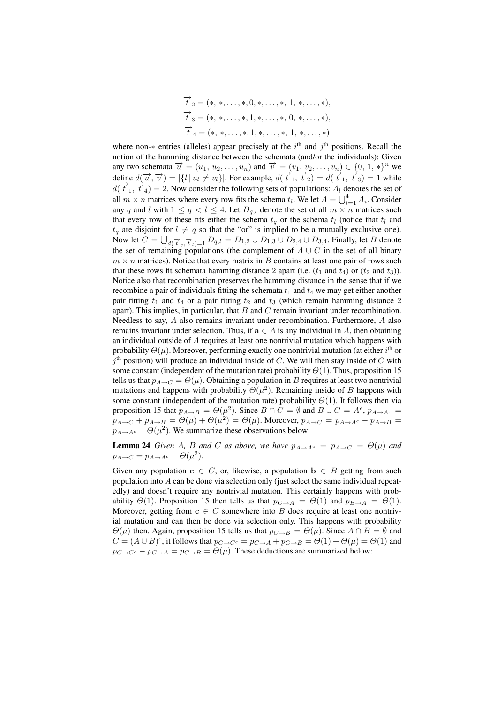$$
\overrightarrow{t}_2 = (*, *, \ldots, *, 0, *, \ldots, *, 1, *, \ldots, *),
$$
  

$$
\overrightarrow{t}_3 = (*, *, \ldots, *, 1, *, \ldots, *, 0, *, \ldots, *),
$$
  

$$
\overrightarrow{t}_4 = (*, *, \ldots, *, 1, *, \ldots, *, 1, *, \ldots, *)
$$

where non- $*$  entries (alleles) appear precisely at the  $i<sup>th</sup>$  and  $j<sup>th</sup>$  positions. Recall the notion of the hamming distance between the schemata (and/or the individuals): Given any two schemata  $\vec{u} = (u_1, u_2, \dots, u_n)$  and  $\vec{v} = (v_1, v_2, \dots, v_n) \in \{0, 1, *\}^n$  we define  $d(\vec{u}, \vec{v}) = |\{l | u_l \neq v_l\}|$ . For example,  $d(\vec{t}_1, \vec{t}_2) = d(\vec{t}_1, \vec{t}_3) = 1$  while  $d(\vec{t}_1, \vec{t}_4) = 2$ . Now consider the following sets of populations:  $A_l$  denotes the set of all  $m \times n$  matrices where every row fits the schema  $t_l$ . We let  $A = \bigcup_{i=1}^{4} A_i$ . Consider any q and l with  $1 \le q < l \le 4$ . Let  $D_{q,l}$  denote the set of all  $m \times n$  matrices such that every row of these fits either the schema  $t_q$  or the schema  $t_l$  (notice that  $t_l$  and  $t_q$  are disjoint for  $l \neq q$  so that the "or" is implied to be a mutually exclusive one). Now let  $C = \bigcup_{d \in \overrightarrow{t}_q, \overrightarrow{t}_l)=1} D_{q,l} = D_{1,2} \cup D_{1,3} \cup D_{2,4} \cup D_{3,4}.$  Finally, let  $B$  denote the set of remaining populations (the complement of  $A \cup C$  in the set of all binary  $m \times n$  matrices). Notice that every matrix in B contains at least one pair of rows such that these rows fit schemata hamming distance 2 apart (i.e.  $(t_1$  and  $t_4$ ) or  $(t_2$  and  $t_3)$ ). Notice also that recombination preserves the hamming distance in the sense that if we recombine a pair of individuals fitting the schemata  $t_1$  and  $t_4$  we may get either another pair fitting  $t_1$  and  $t_4$  or a pair fitting  $t_2$  and  $t_3$  (which remain hamming distance 2 apart). This implies, in particular, that  $B$  and  $C$  remain invariant under recombination. Needless to say, A also remains invariant under recombination. Furthermore, A also remains invariant under selection. Thus, if  $a \in A$  is any individual in A, then obtaining an individual outside of A requires at least one nontrivial mutation which happens with probability  $\Theta(\mu)$ . Moreover, performing exactly one nontrivial mutation (at either i<sup>th</sup> or  $j<sup>th</sup>$  position) will produce an individual inside of C. We will then stay inside of C with some constant (independent of the mutation rate) probability  $\Theta(1)$ . Thus, proposition 15 tells us that  $p_{A\rightarrow C} = \Theta(\mu)$ . Obtaining a population in B requires at least two nontrivial mutations and happens with probability  $\Theta(\mu^2)$ . Remaining inside of B happens with some constant (independent of the mutation rate) probability  $\Theta(1)$ . It follows then via proposition 15 that  $p_{A\rightarrow B} = \Theta(\mu^2)$ . Since  $B \cap C = \emptyset$  and  $B \cup C = A^c$ ,  $p_{A\rightarrow A^c} =$  $p_{A\rightarrow C} + p_{A\rightarrow B} = \Theta(\mu) + \Theta(\mu^2) = \Theta(\mu)$ . Moreover,  $p_{A\rightarrow C} = p_{A\rightarrow A^c} - p_{A\rightarrow B} =$  $p_{A\rightarrow A^c} - \Theta(\mu^2)$ . We summarize these observations below:

**Lemma 24** *Given* A, B *and* C *as above, we have*  $p_{A\rightarrow A^c} = p_{A\rightarrow C} = \Theta(\mu)$  *and*  $p_{A\rightarrow C} = p_{A\rightarrow A^c} - \Theta(\mu^2).$ 

Given any population  $c \in C$ , or, likewise, a population  $b \in B$  getting from such population into A can be done via selection only (just select the same individual repeatedly) and doesn't require any nontrivial mutation. This certainly happens with probability  $\Theta(1)$ . Proposition 15 then tells us that  $p_{C\rightarrow A} = \Theta(1)$  and  $p_{B\rightarrow A} = \Theta(1)$ . Moreover, getting from  $c \in C$  somewhere into B does require at least one nontrivial mutation and can then be done via selection only. This happens with probability  $\Theta(\mu)$  then. Again, proposition 15 tells us that  $p_{C\to B} = \Theta(\mu)$ . Since  $A \cap B = \emptyset$  and  $C = (A \cup B)^c$ , it follows that  $p_{C \to C^c} = p_{C \to A} + p_{C \to B} = \Theta(1) + \Theta(\mu) = \Theta(1)$  and  $p_{C\rightarrow C^c} - p_{C\rightarrow A} = p_{C\rightarrow B} = \Theta(\mu)$ . These deductions are summarized below: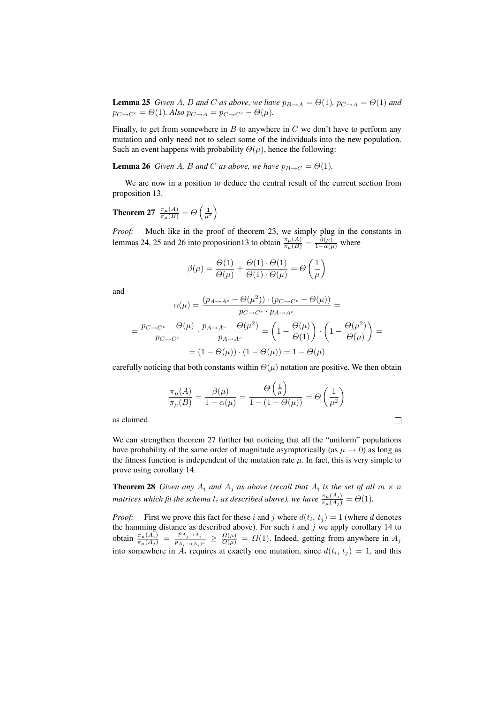**Lemma 25** *Given A, B and C as above, we have*  $p_{B\rightarrow A} = \Theta(1)$ ,  $p_{C\rightarrow A} = \Theta(1)$  *and*  $p_{C \to C^c} = \Theta(1)$ *. Also*  $p_{C \to A} = p_{C \to C^c} - \Theta(\mu)$ *.* 

Finally, to get from somewhere in  $B$  to anywhere in  $C$  we don't have to perform any mutation and only need not to select some of the individuals into the new population. Such an event happens with probability  $\Theta(\mu)$ , hence the following:

**Lemma 26** *Given A, B and C as above, we have*  $p_{B\rightarrow C} = \Theta(1)$ *.* 

We are now in a position to deduce the central result of the current section from proposition 13.

Theorem 27  $\frac{\pi_{\mu}(A)}{\pi_{\mu}(B)} = \Theta$  $\left(\frac{1}{\mu^2}\right)$ ´

*Proof:* Much like in the proof of theorem 23, we simply plug in the constants in lemmas 24, 25 and 26 into proposition 13 to obtain  $\frac{\pi_{\mu}(A)}{\pi_{\mu}(B)} = \frac{\beta(\mu)}{1 - \alpha(\mu)}$  where

$$
\beta(\mu) = \frac{\Theta(1)}{\Theta(\mu)} + \frac{\Theta(1) \cdot \Theta(1)}{\Theta(1) \cdot \Theta(\mu)} = \Theta\left(\frac{1}{\mu}\right)
$$

and

$$
\alpha(\mu) = \frac{(p_{A \to A^c} - \Theta(\mu^2)) \cdot (p_{C \to C^c} - \Theta(\mu))}{p_{C \to C^c} \cdot p_{A \to A^c}} =
$$

$$
= \frac{p_{C \to C^c} - \Theta(\mu)}{p_{C \to C^c}} \cdot \frac{p_{A \to A^c} - \Theta(\mu^2)}{p_{A \to A^c}} = \left(1 - \frac{\Theta(\mu)}{\Theta(1)}\right) \cdot \left(1 - \frac{\Theta(\mu^2)}{\Theta(\mu)}\right) =
$$

$$
= (1 - \Theta(\mu)) \cdot (1 - \Theta(\mu)) = 1 - \Theta(\mu)
$$

carefully noticing that both constants within  $\Theta(\mu)$  notation are positive. We then obtain

$$
\frac{\pi_{\mu}(A)}{\pi_{\mu}(B)} = \frac{\beta(\mu)}{1 - \alpha(\mu)} = \frac{\Theta\left(\frac{1}{\mu}\right)}{1 - (1 - \Theta(\mu))} = \Theta\left(\frac{1}{\mu^2}\right)
$$

 $\overline{a}$ 

´

as claimed.

We can strengthen theorem 27 further but noticing that all the "uniform" populations have probability of the same order of magnitude asymptotically (as  $\mu \to 0$ ) as long as the fitness function is independent of the mutation rate  $\mu$ . In fact, this is very simple to prove using corollary 14.

**Theorem 28** *Given any*  $A_i$  *and*  $A_j$  *as above (recall that*  $A_i$  *is the set of all*  $m \times n$ *matrices which fit the schema*  $t_i$  *as described above), we have*  $\frac{\pi_\mu(A_i)}{\pi_\mu(A_j)} = \Theta(1)$ .

*Proof:* First we prove this fact for these i and j where  $d(t_i, t_j) = 1$  (where d denotes the hamming distance as described above). For such  $i$  and  $j$  we apply corollary 14 to obtain  $\frac{\pi_{\mu}(A_i)}{\pi_{\mu}(A_j)} = \frac{p_{A_j \rightarrow A_i}}{p_{A_i \rightarrow (A_i)}}$  $\frac{p_{A_j \to A_i}}{p_{A_i \to (A_i)^c}} \geq \frac{\Omega(\mu)}{O(\mu)} = \Omega(1)$ . Indeed, getting from anywhere in  $A_j$ into somewhere in  $A_i$  requires at exactly one mutation, since  $d(t_i, t_j) = 1$ , and this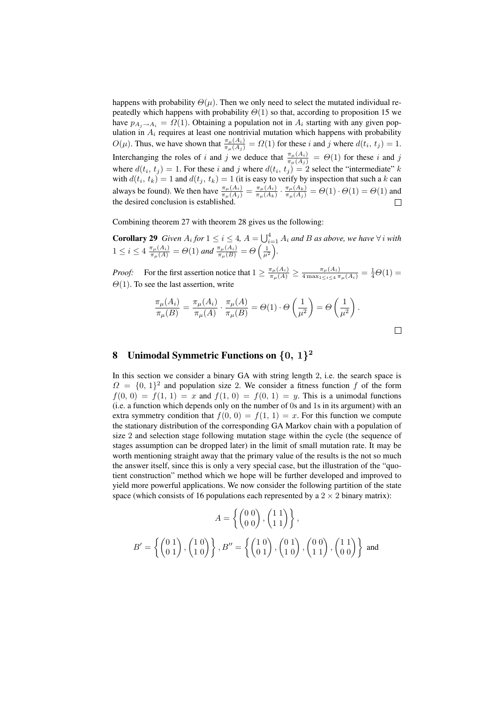happens with probability  $\Theta(\mu)$ . Then we only need to select the mutated individual repeatedly which happens with probability  $\Theta(1)$  so that, according to proposition 15 we have  $p_{A_i \to A_i} = \Omega(1)$ . Obtaining a population not in  $A_i$  starting with any given population in  $A_i$  requires at least one nontrivial mutation which happens with probability  $O(\mu)$ . Thus, we have shown that  $\frac{\pi_{\mu}(A_i)}{\pi_{\mu}(A_i)} = \Omega(1)$  for these i and j where  $d(t_i, t_j) = 1$ . Interchanging the roles of i and j we deduce that  $\frac{\pi_\mu(A_i)}{\pi_\mu(A_j)} = \Theta(1)$  for these i and j where  $d(t_i, t_j) = 1$ . For these i and j where  $d(t_i, t_j) = 2$  select the "intermediate" k with  $d(t_i, t_k) = 1$  and  $d(t_j, t_k) = 1$  (it is easy to verify by inspection that such a k can always be found). We then have  $\frac{\pi_{\mu}(A_i)}{\pi_{\mu}(A_i)} = \frac{\pi_{\mu}(A_i)}{\pi_{\mu}(A_k)}$  $\frac{\pi_\mu(A_i)}{\pi_\mu(A_k)} \cdot \frac{\pi_\mu(A_k)}{\pi_\mu(A_j)} = \Theta(1) \cdot \Theta(1) = \Theta(1)$  and the desired conclusion is established.  $\Box$ 

Combining theorem 27 with theorem 28 gives us the following:

**Corollary 29** *Given*  $A_i$  *for*  $1 \leq i \leq 4$ ,  $A = \bigcup_{i=1}^4 A_i$  *and B as above, we have*  $\forall i$  *with*  $1 \leq i \leq 4 \frac{\pi_{\mu}(A_i)}{\pi_{\mu}(A)} = \Theta(1)$  and  $\frac{\pi_{\mu}(A_i)}{\pi_{\mu}(B)} = \Theta\left(\frac{1}{\mu^2}\right)$ .

*Proof:* For the first assertion notice that  $1 \ge \frac{\pi_{\mu}(A_i)}{\pi_{\mu}(A)} \ge \frac{\pi_{\mu}(A_i)}{4 \max_{1 \le i \le 4} \pi_{\mu}(A_i)} = \frac{1}{4}\Theta(1) =$  $\Theta(1)$ . To see the last assertion, write

$$
\frac{\pi_{\mu}(A_i)}{\pi_{\mu}(B)} = \frac{\pi_{\mu}(A_i)}{\pi_{\mu}(A)} \cdot \frac{\pi_{\mu}(A)}{\pi_{\mu}(B)} = \Theta(1) \cdot \Theta\left(\frac{1}{\mu^2}\right) = \Theta\left(\frac{1}{\mu^2}\right).
$$

# 8 Unimodal Symmetric Functions on  $\{0, 1\}^2$

In this section we consider a binary GA with string length 2, i.e. the search space is  $\Omega = \{0, 1\}^2$  and population size 2. We consider a fitness function f of the form  $f(0, 0) = f(1, 1) = x$  and  $f(1, 0) = f(0, 1) = y$ . This is a unimodal functions (i.e. a function which depends only on the number of 0s and 1s in its argument) with an extra symmetry condition that  $f(0, 0) = f(1, 1) = x$ . For this function we compute the stationary distribution of the corresponding GA Markov chain with a population of size 2 and selection stage following mutation stage within the cycle (the sequence of stages assumption can be dropped later) in the limit of small mutation rate. It may be worth mentioning straight away that the primary value of the results is the not so much the answer itself, since this is only a very special case, but the illustration of the "quotient construction" method which we hope will be further developed and improved to yield more powerful applications. We now consider the following partition of the state space (which consists of 16 populations each represented by a  $2 \times 2$  binary matrix):

$$
A = \left\{ \begin{pmatrix} 0 & 0 \\ 0 & 0 \end{pmatrix}, \begin{pmatrix} 1 & 1 \\ 1 & 1 \end{pmatrix} \right\},
$$

$$
B' = \left\{ \begin{pmatrix} 0 & 1 \\ 0 & 1 \end{pmatrix}, \begin{pmatrix} 1 & 0 \\ 1 & 0 \end{pmatrix} \right\}, B'' = \left\{ \begin{pmatrix} 1 & 0 \\ 0 & 1 \end{pmatrix}, \begin{pmatrix} 0 & 1 \\ 1 & 0 \end{pmatrix}, \begin{pmatrix} 0 & 0 \\ 1 & 1 \end{pmatrix}, \begin{pmatrix} 1 & 1 \\ 0 & 0 \end{pmatrix} \right\} \text{ and}
$$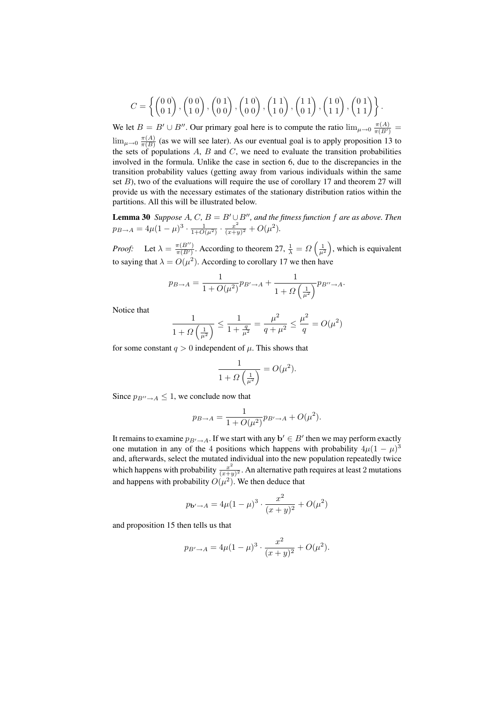$$
C = \left\{ \begin{pmatrix} 0 & 0 \\ 0 & 1 \end{pmatrix}, \begin{pmatrix} 0 & 0 \\ 1 & 0 \end{pmatrix}, \begin{pmatrix} 0 & 1 \\ 0 & 0 \end{pmatrix}, \begin{pmatrix} 1 & 0 \\ 0 & 0 \end{pmatrix}, \begin{pmatrix} 1 & 1 \\ 1 & 0 \end{pmatrix}, \begin{pmatrix} 1 & 1 \\ 0 & 1 \end{pmatrix}, \begin{pmatrix} 0 & 1 \\ 1 & 1 \end{pmatrix} \right\}.
$$

We let  $B = B' \cup B''$ . Our primary goal here is to compute the ratio  $\lim_{\mu \to 0} \frac{\pi(A)}{\pi(B')}$  $\lim_{\mu \to 0} \frac{\pi(A)}{\pi(B)}$  $\frac{\pi(A)}{\pi(B)}$  (as we will see later). As our eventual goal is to apply proposition 13 to the sets of populations  $A$ ,  $B$  and  $C$ , we need to evaluate the transition probabilities involved in the formula. Unlike the case in section 6, due to the discrepancies in the transition probability values (getting away from various individuals within the same set  $B$ ), two of the evaluations will require the use of corollary 17 and theorem 27 will provide us with the necessary estimates of the stationary distribution ratios within the partitions. All this will be illustrated below.

**Lemma 30** *Suppose* A, C,  $B = B' \cup B''$ , and the fitness function f are as above. Then  $p_{B\to A} = 4\mu(1-\mu)^3 \cdot \frac{1}{1+O(\mu^2)} \cdot \frac{x^2}{(x+\mu)^3}$  $\frac{x^2}{(x+y)^2} + O(\mu^2).$ 

*Proof:* Let  $\lambda = \frac{\pi(B'')}{\pi(B')}$  $\frac{\pi(B'')}{\pi(B')}$ . According to theorem 27,  $\frac{1}{\lambda} = \Omega$  $\left(\frac{1}{\mu^2}\right)$ ´ , which is equivalent to saying that  $\lambda = O(\mu^2)$ . According to corollary 17 we then have

$$
p_{B\to A} = \frac{1}{1 + O(\mu^2)} p_{B'\to A} + \frac{1}{1 + \Omega\left(\frac{1}{\mu^2}\right)} p_{B''\to A}.
$$

Notice that

$$
\frac{1}{1+\Omega\left(\frac{1}{\mu^2}\right)} \le \frac{1}{1+\frac{q}{\mu^2}} = \frac{\mu^2}{q+\mu^2} \le \frac{\mu^2}{q} = O(\mu^2)
$$

for some constant  $q > 0$  independent of  $\mu$ . This shows that

$$
\frac{1}{1+\Omega\left(\frac{1}{\mu^2}\right)} = O(\mu^2).
$$

Since  $p_{B''\to A} \leq 1$ , we conclude now that

$$
p_{B\rightarrow A}=\frac{1}{1+O(\mu^2)}p_{B'\rightarrow A}+O(\mu^2).
$$

It remains to examine  $p_{B'\to A}$ . If we start with any  $\mathbf{b}' \in B'$  then we may perform exactly one mutation in any of the 4 positions which happens with probability  $4\mu(1-\mu)^3$ and, afterwards, select the mutated individual into the new population repeatedly twice which happens with probability  $\frac{x^2}{(x+1)^2}$  $\frac{x^2}{(x+y)^2}$ . An alternative path requires at least 2 mutations and happens with probability  $O(\mu^2)$ . We then deduce that

$$
p_{\mathbf{b}' \to A} = 4\mu (1 - \mu)^3 \cdot \frac{x^2}{(x + y)^2} + O(\mu^2)
$$

and proposition 15 then tells us that

$$
p_{B'\to A} = 4\mu(1-\mu)^3 \cdot \frac{x^2}{(x+y)^2} + O(\mu^2).
$$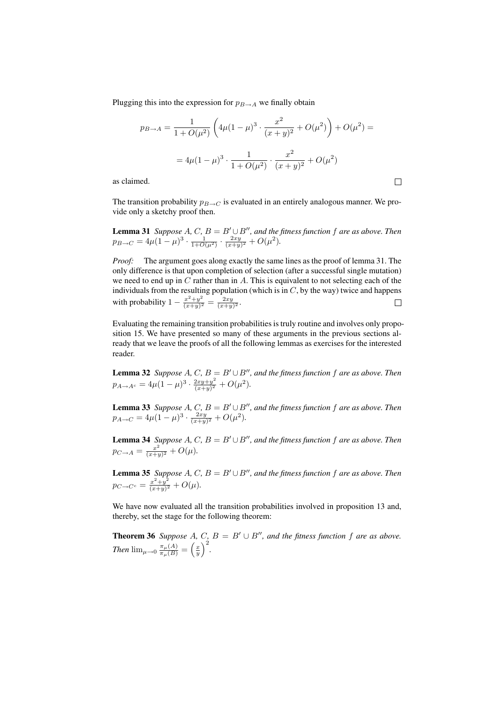Plugging this into the expression for  $p_{B\to A}$  we finally obtain

$$
p_{B\to A} = \frac{1}{1 + O(\mu^2)} \left( 4\mu (1 - \mu)^3 \cdot \frac{x^2}{(x + y)^2} + O(\mu^2) \right) + O(\mu^2) =
$$
  
=  $4\mu (1 - \mu)^3 \cdot \frac{1}{1 + O(\mu^2)} \cdot \frac{x^2}{(x + y)^2} + O(\mu^2)$ 

 $\Box$ 

as claimed.

The transition probability  $p_{B\to C}$  is evaluated in an entirely analogous manner. We provide only a sketchy proof then.

**Lemma 31** *Suppose* A, C,  $B = B' \cup B''$ , and the fitness function f are as above. Then  $p_{B\to C} = 4\mu(1-\mu)^3 \cdot \frac{1}{1+O(\mu^2)} \cdot \frac{2xy}{(x+y)^2} + O(\mu^2).$ 

*Proof:* The argument goes along exactly the same lines as the proof of lemma 31. The only difference is that upon completion of selection (after a successful single mutation) we need to end up in  $C$  rather than in  $A$ . This is equivalent to not selecting each of the individuals from the resulting population (which is in  $C$ , by the way) twice and happens with probability  $1 - \frac{x^2 + y^2}{(x+y)^2}$  $\frac{x^2+y^2}{(x+y)^2} = \frac{2xy}{(x+y)^2}.$ 

Evaluating the remaining transition probabilities is truly routine and involves only proposition 15. We have presented so many of these arguments in the previous sections already that we leave the proofs of all the following lemmas as exercises for the interested reader.

**Lemma 32** *Suppose* A, C,  $B = B' \cup B''$ , and the fitness function f are as above. Then  $p_{A\to A^c} = 4\mu(1-\mu)^3 \cdot \frac{2xy+y^2}{(x+y)^2}$  $\frac{2xy+y^2}{(x+y)^2} + O(\mu^2).$ 

**Lemma 33** *Suppose* A, C,  $B = B' \cup B''$ , and the fitness function f are as above. Then  $p_{A\to C} = 4\mu(1-\mu)^3 \cdot \frac{2xy}{(x+y)^2} + O(\mu^2).$ 

**Lemma 34** *Suppose* A, C,  $B = B' \cup B''$ , and the fitness function f are as above. Then  $p_{C\rightarrow A} = \frac{x^2}{(x+y)}$  $\frac{x^2}{(x+y)^2} + O(\mu).$ 

**Lemma 35** *Suppose* A, C,  $B = B' \cup B''$ , and the fitness function f are as above. Then  $p_{C \to C^c} = \frac{x^2 + y^2}{(x+y)^2}$  $\frac{x^2+y^2}{(x+y)^2} + O(\mu).$ 

We have now evaluated all the transition probabilities involved in proposition 13 and, thereby, set the stage for the following theorem:

**Theorem 36** *Suppose*  $A, C, B = B' \cup B''$ , and the fitness function f are as above. *Then*  $\lim_{\mu \to 0} \frac{\pi_{\mu}(A)}{\pi_{\mu}(B)} = \left(\frac{x}{y}\right)$  $\frac{C}{\sqrt{2}}$ *.*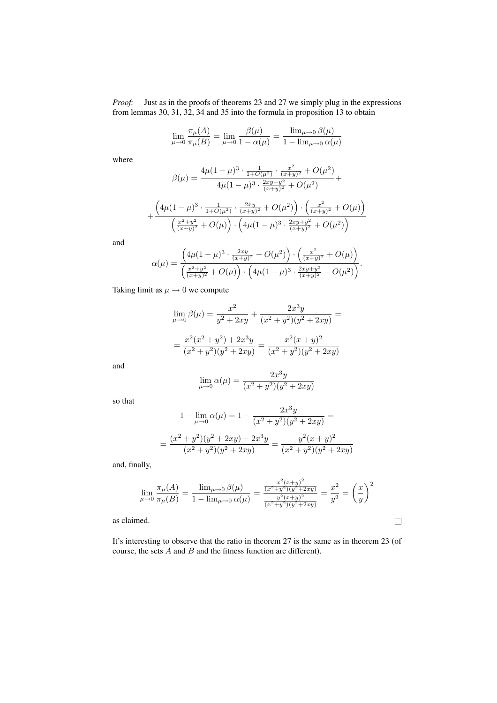*Proof:* Just as in the proofs of theorems 23 and 27 we simply plug in the expressions from lemmas 30, 31, 32, 34 and 35 into the formula in proposition 13 to obtain

$$
\lim_{\mu \to 0} \frac{\pi_{\mu}(A)}{\pi_{\mu}(B)} = \lim_{\mu \to 0} \frac{\beta(\mu)}{1 - \alpha(\mu)} = \frac{\lim_{\mu \to 0} \beta(\mu)}{1 - \lim_{\mu \to 0} \alpha(\mu)}
$$

where

$$
\beta(\mu) = \frac{4\mu(1-\mu)^3 \cdot \frac{1}{1+O(\mu^2)} \cdot \frac{x^2}{(x+y)^2} + O(\mu^2)}{4\mu(1-\mu)^3 \cdot \frac{2xy+y^2}{(x+y)^2} + O(\mu^2)} +
$$

$$
+\frac{\left(4 \mu (1-\mu )^3 \cdot \frac{1}{1+O(\mu^2)} \cdot \frac{2xy}{(x+y)^2}+O(\mu^2)\right)\cdot \left(\frac{x^2}{(x+y)^2}+O(\mu)\right)}{\left(\frac{x^2+y^2}{(x+y)^2}+O(\mu)\right)\cdot \left(4 \mu (1-\mu)^3 \cdot \frac{2xy+y^2}{(x+y)^2}+O(\mu^2)\right)}
$$

and

$$
\alpha(\mu) = \frac{\left(4\mu(1-\mu)^3 \cdot \frac{2xy}{(x+y)^2} + O(\mu^2)\right) \cdot \left(\frac{x^2}{(x+y)^2} + O(\mu)\right)}{\left(\frac{x^2+y^2}{(x+y)^2} + O(\mu)\right) \cdot \left(4\mu(1-\mu)^3 \cdot \frac{2xy+y^2}{(x+y)^2} + O(\mu^2)\right)}.
$$

Taking limit as  $\mu \rightarrow 0$  we compute

$$
\lim_{\mu \to 0} \beta(\mu) = \frac{x^2}{y^2 + 2xy} + \frac{2x^3y}{(x^2 + y^2)(y^2 + 2xy)} =
$$

$$
= \frac{x^2(x^2 + y^2) + 2x^3y}{(x^2 + y^2)(y^2 + 2xy)} = \frac{x^2(x + y)^2}{(x^2 + y^2)(y^2 + 2xy)}
$$

and

$$
\lim_{\mu \to 0} \alpha(\mu) = \frac{2x^3y}{(x^2 + y^2)(y^2 + 2xy)}
$$

so that

$$
1 - \lim_{\mu \to 0} \alpha(\mu) = 1 - \frac{2x^3y}{(x^2 + y^2)(y^2 + 2xy)} =
$$

$$
= \frac{(x^2 + y^2)(y^2 + 2xy) - 2x^3y}{(x^2 + y^2)(y^2 + 2xy)} = \frac{y^2(x + y)^2}{(x^2 + y^2)(y^2 + 2xy)}
$$

and, finally,

$$
\lim_{\mu \to 0} \frac{\pi_{\mu}(A)}{\pi_{\mu}(B)} = \frac{\lim_{\mu \to 0} \beta(\mu)}{1 - \lim_{\mu \to 0} \alpha(\mu)} = \frac{\frac{x^2 (x + y)^2}{(x^2 + y^2)(y^2 + 2xy)}}{\frac{y^2 (x + y)^2}{(x^2 + y^2)(y^2 + 2xy)}} = \frac{x^2}{y^2} = \left(\frac{x}{y}\right)^2
$$

 $\Box$ 

as claimed.

It's interesting to observe that the ratio in theorem 27 is the same as in theorem 23 (of course, the sets  $A$  and  $B$  and the fitness function are different).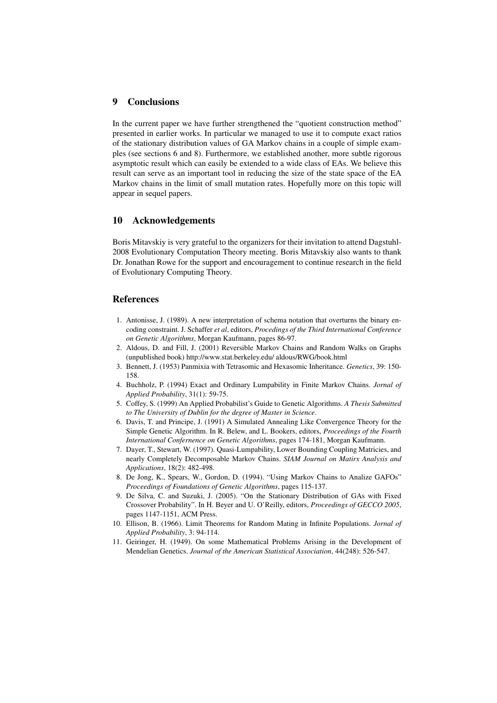## 9 Conclusions

In the current paper we have further strengthened the "quotient construction method" presented in earlier works. In particular we managed to use it to compute exact ratios of the stationary distribution values of GA Markov chains in a couple of simple examples (see sections 6 and 8). Furthermore, we established another, more subtle rigorous asymptotic result which can easily be extended to a wide class of EAs. We believe this result can serve as an important tool in reducing the size of the state space of the EA Markov chains in the limit of small mutation rates. Hopefully more on this topic will appear in sequel papers.

### 10 Acknowledgements

Boris Mitavskiy is very grateful to the organizers for their invitation to attend Dagstuhl-2008 Evolutionary Computation Theory meeting. Boris Mitavskiy also wants to thank Dr. Jonathan Rowe for the support and encouragement to continue research in the field of Evolutionary Computing Theory.

#### **References**

- 1. Antonisse, J. (1989). A new interpretation of schema notation that overturns the binary encoding constraint. J. Schaffer *et al*, editors, *Procedings of the Third International Conference on Genetic Algorithms*, Morgan Kaufmann, pages 86-97.
- 2. Aldous, D. and Fill, J. (2001) Reversible Markov Chains and Random Walks on Graphs (unpublished book) http://www.stat.berkeley.edu/ aldous/RWG/book.html
- 3. Bennett, J. (1953) Panmixia with Tetrasomic and Hexasomic Inheritance. *Genetics*, 39: 150- 158.
- 4. Buchholz, P. (1994) Exact and Ordinary Lumpability in Finite Markov Chains. *Jornal of Applied Probability*, 31(1): 59-75.
- 5. Coffey, S. (1999) An Applied Probabilist's Guide to Genetic Algorithms. *A Thesis Submitted to The University of Dublin for the degree of Master in Science*.
- 6. Davis, T. and Principe, J. (1991) A Simulated Annealing Like Convergence Theory for the Simple Genetic Algorithm. In R. Belew, and L. Bookers, editors, *Proceedings of the Fourth International Confernence on Genetic Algorithms*, pages 174-181, Morgan Kaufmann.
- 7. Dayer, T., Stewart, W. (1997). Quasi-Lumpability, Lower Bounding Coupling Matricies, and nearly Completely Decomposable Markov Chains. *SIAM Journal on Matirx Analysis and Applications*, 18(2): 482-498.
- 8. De Jong, K., Spears, W., Gordon, D. (1994). "Using Markov Chains to Analize GAFOs" *Proceedings of Foundations of Genetic Algorithms*, pages 115-137.
- 9. De Silva, C. and Suzuki, J. (2005). "On the Stationary Distribution of GAs with Fixed Crossover Probability". In H. Beyer and U. O'Reilly, editors, *Proceedings of GECCO 2005*, pages 1147-1151, ACM Press.
- 10. Ellison, B. (1966). Limit Theorems for Random Mating in Infinite Populations. *Jornal of Applied Probability*, 3: 94-114.
- 11. Geiringer, H. (1949). On some Mathematical Problems Arising in the Development of Mendelian Genetics. *Journal of the American Statistical Association*, 44(248): 526-547.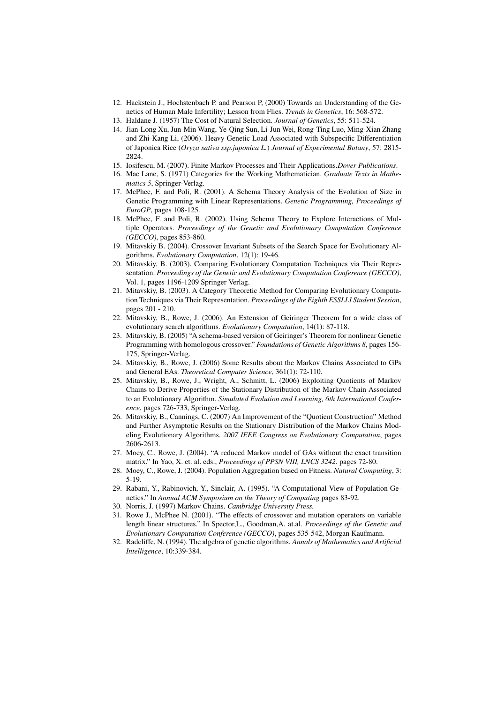- 12. Hackstein J., Hochstenbach P. and Pearson P, (2000) Towards an Understanding of the Genetics of Human Male Infertility; Lesson from Flies. *Trends in Genetics*, 16: 568-572.
- 13. Haldane J. (1957) The Cost of Natural Selection. *Journal of Genetics*, 55: 511-524.
- 14. Jian-Long Xu, Jun-Min Wang, Ye-Qing Sun, Li-Jun Wei, Rong-Ting Luo, Ming-Xian Zhang and Zhi-Kang Li, (2006). Heavy Genetic Load Associated with Subspecific Differentiation of Japonica Rice (*Oryza sativa ssp.japonica L.*) *Journal of Experimental Botany*, 57: 2815- 2824.
- 15. Iosifescu, M. (2007). Finite Markov Processes and Their Applications.*Dover Publications*.
- 16. Mac Lane, S. (1971) Categories for the Working Mathematician. *Graduate Texts in Mathematics 5*, Springer-Verlag.
- 17. McPhee, F. and Poli, R. (2001). A Schema Theory Analysis of the Evolution of Size in Genetic Programming with Linear Representations. *Genetic Programming, Proceedings of EuroGP*, pages 108-125.
- 18. McPhee, F. and Poli, R. (2002). Using Schema Theory to Explore Interactions of Multiple Operators. *Proceedings of the Genetic and Evolutionary Computation Conference (GECCO)*, pages 853-860.
- 19. Mitavskiy B. (2004). Crossover Invariant Subsets of the Search Space for Evolutionary Algorithms. *Evolutionary Computation*, 12(1): 19-46.
- 20. Mitavskiy, B. (2003). Comparing Evolutionary Computation Techniques via Their Representation. *Proceedings of the Genetic and Evolutionary Computation Conference (GECCO)*, Vol. 1, pages 1196-1209 Springer Verlag.
- 21. Mitavskiy, B. (2003). A Category Theoretic Method for Comparing Evolutionary Computation Techniques via Their Representation. *Proceedings of the Eighth ESSLLI Student Session*, pages 201 - 210.
- 22. Mitavskiy, B., Rowe, J. (2006). An Extension of Geiringer Theorem for a wide class of evolutionary search algorithms. *Evolutionary Computation*, 14(1): 87-118.
- 23. Mitavskiy, B. (2005) "A schema-based version of Geiringer's Theorem for nonlinear Genetic Programming with homologous crossover." *Foundations of Genetic Algorithms 8*, pages 156- 175, Springer-Verlag.
- 24. Mitavskiy, B., Rowe, J. (2006) Some Results about the Markov Chains Associated to GPs and General EAs. *Theoretical Computer Science*, 361(1): 72-110.
- 25. Mitavskiy, B., Rowe, J., Wright, A., Schmitt, L. (2006) Exploiting Quotients of Markov Chains to Derive Properties of the Stationary Distribution of the Markov Chain Associated to an Evolutionary Algorithm. *Simulated Evolution and Learning, 6th International Conference*, pages 726-733, Springer-Verlag.
- 26. Mitavskiy, B., Cannings, C. (2007) An Improvement of the "Quotient Construction" Method and Further Asymptotic Results on the Stationary Distribution of the Markov Chains Modeling Evolutionary Algorithms. *2007 IEEE Congress on Evolutionary Computation*, pages 2606-2613.
- 27. Moey, C., Rowe, J. (2004). "A reduced Markov model of GAs without the exact transition matrix." In Yao, X. et. al. eds., *Proceedings of PPSN VIII, LNCS 3242.* pages 72-80.
- 28. Moey, C., Rowe, J. (2004). Population Aggregation based on Fitness. *Natural Computing*, 3: 5-19.
- 29. Rabani, Y., Rabinovich, Y., Sinclair, A. (1995). "A Computational View of Population Genetics." In *Annual ACM Symposium on the Theory of Computing* pages 83-92.
- 30. Norris, J. (1997) Markov Chains. *Cambridge University Press.*
- 31. Rowe J., McPhee N. (2001). "The effects of crossover and mutation operators on variable length linear structures." In Spector,L., Goodman,A. at.al. *Proceedings of the Genetic and Evolutionary Computation Conference (GECCO)*, pages 535-542, Morgan Kaufmann.
- 32. Radcliffe, N. (1994). The algebra of genetic algorithms. *Annals of Mathematics and Artificial Intelligence*, 10:339-384.